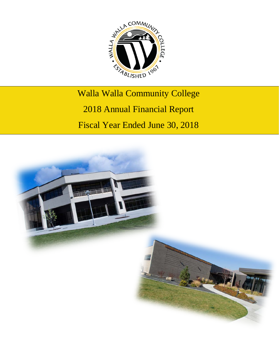

# Walla Walla Community College 2018 Annual Financial Report Fiscal Year Ended June 30, 2018

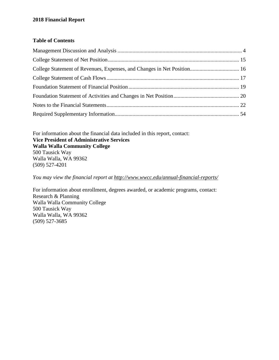#### **Table of Contents**

For information about the financial data included in this report, contact: **Vice President of Administrative Services Walla Walla Community College** 500 Tausick Way Walla Walla, WA 99362 (509) 527-4201

*You may view the financial report at<http://www.wwcc.edu/annual-financial-reports/>*

For information about enrollment, degrees awarded, or academic programs, contact: Research & Planning Walla Walla Community College 500 Tausick Way Walla Walla, WA 99362 (509) 527-3685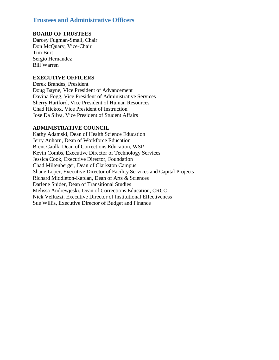#### **Trustees and Administrative Officers**

#### **BOARD OF TRUSTEES**

Darcey Fugman-Small, Chair Don McQuary, Vice-Chair Tim Burt Sergio Hernandez Bill Warren

#### **EXECUTIVE OFFICERS**

Derek Brandes, President Doug Bayne, Vice President of Advancement Davina Fogg, Vice President of Administrative Services Sherry Hartford, Vice President of Human Resources Chad Hickox, Vice President of Instruction Jose Da Silva, Vice President of Student Affairs

#### **ADMINISTRATIVE COUNCIL**

Kathy Adamski, Dean of Health Science Education Jerry Anhorn, Dean of Workforce Education Brent Caulk, Dean of Corrections Education, WSP Kevin Combs, Executive Director of Technology Services Jessica Cook, Executive Director, Foundation Chad Miltenberger, Dean of Clarkston Campus Shane Loper, Executive Director of Facility Services and Capital Projects Richard Middleton-Kaplan, Dean of Arts & Sciences Darlene Snider, Dean of Transitional Studies Melissa Andrewjeski, Dean of Corrections Education, CRCC Nick Velluzzi, Executive Director of Institutional Effectiveness Sue Willis, Executive Director of Budget and Finance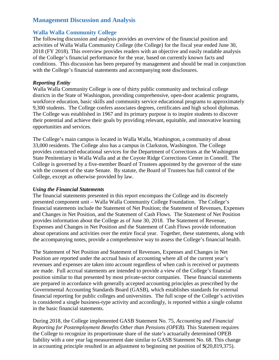#### <span id="page-3-0"></span>**Management Discussion and Analysis**

#### **Walla Walla Community College**

The following discussion and analysis provides an overview of the financial position and activities of Walla Walla Community College (the College) for the fiscal year ended June 30, 2018 (FY 2018). This overview provides readers with an objective and easily readable analysis of the College's financial performance for the year, based on currently known facts and conditions. This discussion has been prepared by management and should be read in conjunction with the College's financial statements and accompanying note disclosures.

#### *Reporting Entity*

Walla Walla Community College is one of thirty public community and technical college districts in the State of Washington, providing comprehensive, open-door academic programs, workforce education, basic skills and community service educational programs to approximately 9,300 students. The College confers associates degrees, certificates and high school diplomas. The College was established in 1967 and its primary purpose is to inspire students to discover their potential and achieve their goals by providing relevant, equitable, and innovative learning opportunities and services.

The College's main campus is located in Walla Walla, Washington, a community of about 33,000 residents. The College also has a campus in Clarkston, Washington. The College provides contracted educational services for the Department of Corrections at the Washington State Penitentiary in Walla Walla and at the Coyote Ridge Corrections Center in Connell. The College is governed by a five-member Board of Trustees appointed by the governor of the state with the consent of the state Senate. By statute, the Board of Trustees has full control of the College, except as otherwise provided by law.

#### *Using the Financial Statements*

The financial statements presented in this report encompass the College and its discretely presented component unit – Walla Walla Community College Foundation. The College's financial statements include the Statement of Net Position; the Statement of Revenues, Expenses and Changes in Net Position, and the Statement of Cash Flows. The Statement of Net Position provides information about the College as of June 30, 2018. The Statement of Revenue, Expenses and Changes in Net Position and the Statement of Cash Flows provide information about operations and activities over the entire fiscal year. Together, these statements, along with the accompanying notes, provide a comprehensive way to assess the College's financial health.

The Statement of Net Position and Statement of Revenues, Expenses and Changes in Net Position are reported under the accrual basis of accounting where all of the current year's revenues and expenses are taken into account regardless of when cash is received or payments are made. Full accrual statements are intended to provide a view of the College's financial position similar to that presented by most private-sector companies. These financial statements are prepared in accordance with generally accepted accounting principles as prescribed by the Governmental Accounting Standards Board (GASB), which establishes standards for external financial reporting for public colleges and universities. The full scope of the College's activities is considered a single business-type activity and accordingly, is reported within a single column in the basic financial statements.

During 2018, the College implemented GASB Statement No. 75, *Accounting and Financial Reporting for Postemployment Benefits Other than Pensions (OPEB).* This Statement requires the College to recognize its proportionate share of the state's actuarially determined OPEB liability with a one year lag measurement date similar to GASB Statement No. 68. This change in accounting principle resulted in an adjustment to beginning net position of \$(20,819,375).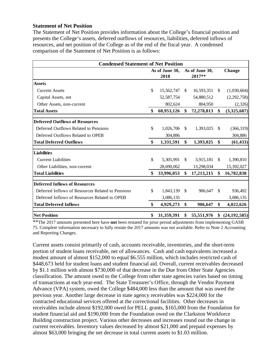#### **Statement of Net Position**

The Statement of Net Position provides information about the College's financial position and presents the College's assets, deferred outflows of resources, liabilities, deferred inflows of resources, and net position of the College as of the end of the fiscal year. A condensed comparison of the Statement of Net Position is as follows:

| <b>Condensed Statement of Net Position</b>        |    |                |               |                |               |                |  |
|---------------------------------------------------|----|----------------|---------------|----------------|---------------|----------------|--|
|                                                   |    | As of June 30, |               | As of June 30, |               | Change         |  |
|                                                   |    | 2018           |               | 2017**         |               |                |  |
| <b>Assets</b>                                     |    |                |               |                |               |                |  |
| <b>Current Assets</b>                             | \$ | 15,562,747     | \$            | 16,593,351     | \$            | (1,030,604)    |  |
| Capital Assets, net                               |    | 52,587,754     |               | 54,880,512     |               | (2,292,758)    |  |
| Other Assets, non-current                         |    | 802,624        |               | 804,950        |               | (2,326)        |  |
| <b>Total Assets</b>                               | \$ | 68,953,126     | \$            | 72,278,813     | \$            | (3,325,687)    |  |
| <b>Deferred Outflows of Resources</b>             |    |                |               |                |               |                |  |
| Deferred Outflows Related to Pensions             | \$ | 1,026,706      | <sup>\$</sup> | 1,393,025      | <sup>\$</sup> | (366,319)      |  |
| Deferred Outflows Related to OPEB                 |    | 304,886        |               |                |               | 304,886        |  |
| <b>Total Deferred Outflows</b>                    | \$ | 1,331,591      | \$            | 1,393,025      | \$            | (61, 433)      |  |
| <b>Liabilities</b>                                |    |                |               |                |               |                |  |
| <b>Current Liabilities</b>                        | \$ | 5,305,991      | <sup>\$</sup> | 3,915,181      | <sup>\$</sup> | 1,390,810      |  |
| Other Liabilities, non-current                    |    | 28,690,062     |               | 13,298,034     |               | 15,392,027     |  |
| <b>Total Liabilities</b>                          | \$ | 33,996,053     | \$            | 17,213,215     | \$            | 16,782,838     |  |
| <b>Deferred Inflows of Resources</b>              |    |                |               |                |               |                |  |
| Deferred Inflows of Resources Related to Pensions | \$ | 1,843,139      | \$            | 906,647        | <sup>\$</sup> | 936,492        |  |
| Deferred Inflows of Resources Related to OPEB     |    | 3,086,135      |               |                |               | 3,086,135      |  |
| <b>Total Deferred Inflows</b>                     | \$ | 4,929,273      | \$            | 906,647        | \$            | 4,022,626      |  |
| <b>Net Position</b>                               | \$ | 31,359,391     | \$            | 55,551,976     | \$            | (24, 192, 585) |  |

\*\*The 2017 amounts presented here have **not** been restated for prior period adjustments from implementing GASB 75. Complete information necessary to fully restate the 2017 amounts was not available. Refer to Note 2 Accounting and Reporting Changes.

Current assets consist primarily of cash, accounts receivable, inventories, and the short-term portion of student loans receivable, net of allowances. Cash and cash equivalents increased a modest amount of almost \$152,000 to equal \$6.555 million, which includes restricted cash of \$448,673 held for student loans and student financial aid. Overall, current receivables decreased by \$1.1 million with almost \$730,000 of that decrease in the Due from Other State Agencies classification. The amount owed to the College from other state agencies varies based on timing of transactions at each year-end. The State Treasurer's Office, through the Vendor Payment Advance (VPA) system, owed the College \$484,000 less than the amount that was owed the previous year. Another large decrease in state agency receivables was \$224,000 for the contracted educational services offered at the correctional facilities. Other decreases in receivables include almost \$192,000 owed for PELL grants, \$165,000 from the Foundation for student financial aid and \$190,000 from the Foundation owed on the Clarkston Workforce Building construction project. Various other decreases and increases round out the change in current receivables. Inventory values decreased by almost \$21,000 and prepaid expenses by almost \$63,000 bringing the net decrease in total current assets to \$1.03 million.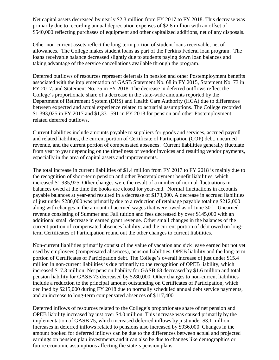Net capital assets decreased by nearly \$2.3 million from FY 2017 to FY 2018. This decrease was primarily due to recording annual depreciation expenses of \$2.8 million with an offset of \$540,000 reflecting purchases of equipment and other capitalized additions, net of any disposals.

Other non-current assets reflect the long-term portion of student loans receivable, net of allowances. The College makes student loans as part of the Perkins Federal loan program. The loans receivable balance decreased slightly due to students paying down loan balances and taking advantage of the service cancellations available through the program.

Deferred outflows of resources represent deferrals in pension and other Postemployment benefits associated with the implementation of GASB Statement No. 68 in FY 2015, Statement No. 73 in FY 2017, and Statement No. 75 in FY 2018. The decrease in deferred outflows reflect the College's proportionate share of a decrease in the state-wide amounts reported by the Department of Retirement System (DRS) and Health Care Authority (HCA) due to differences between expected and actual experience related to actuarial assumptions. The College recorded \$1,393,025 in FY 2017 and \$1,331,591 in FY 2018 for pension and other Postemployment related deferred outflows.

Current liabilities include amounts payable to suppliers for goods and services, accrued payroll and related liabilities, the current portion of Certificate of Participation (COP) debt, unearned revenue, and the current portion of compensated absences. Current liabilities generally fluctuate from year to year depending on the timeliness of vendor invoices and resulting vendor payments, especially in the area of capital assets and improvements.

The total increase in current liabilities of \$1.4 million from FY 2017 to FY 2018 is mainly due to the recognition of short-term pension and other Postemployment benefit liabilities, which increased \$1,935,925. Other changes were the result of a number of normal fluctuations in balances owed at the time the books are closed for year-end. Normal fluctuations in accounts payable balances at year-end resulted in a decrease of \$173,000. A decrease in accrued liabilities of just under \$280,000 was primarily due to a reduction of retainage payable totaling \$212,000 along with changes in the amount of accrued wages that were owed as of June 30<sup>th</sup>. Unearned revenue consisting of Summer and Fall tuition and fees decreased by over \$145,000 with an additional small decrease in earned grant revenue. Other small changes in the balances of the current portion of compensated absences liability, and the current portion of debt owed on longterm Certificates of Participation round out the other changes to current liabilities.

Non-current liabilities primarily consist of the value of vacation and sick leave earned but not yet used by employees (compensated absences), pension liabilities, OPEB liability and the long-term portion of Certificates of Participation debt. The College's overall increase of just under \$15.4 million in non-current liabilities is due primarily to the recognition of OPEB liability, which increased \$17.3 million. Net pension liability for GASB 68 decreased by \$1.6 million and total pension liability for GASB 73 decreased by \$280,000. Other changes to non-current liabilities include a reduction to the principal amount outstanding on Certificates of Participation, which declined by \$215,000 during FY 2018 due to normally scheduled annual debt service payments, and an increase to long-term compensated absences of \$117,400.

Deferred inflows of resources related to the College's proportionate share of net pension and OPEB liability increased by just over \$4.0 million. This increase was caused primarily by the implementation of GASB 75, which increased deferred inflows by just under \$3.1 million. Increases in deferred inflows related to pensions also increased by \$936,000. Changes in the amount booked for deferred inflows can be due to the differences between actual and projected earnings on pension plan investments and it can also be due to changes like demographics or future economic assumptions affecting the state's pension plans.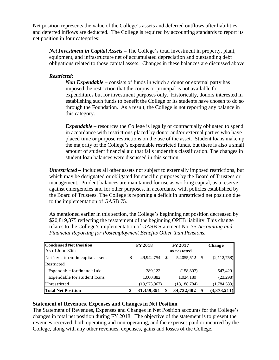Net position represents the value of the College's assets and deferred outflows after liabilities and deferred inflows are deducted. The College is required by accounting standards to report its net position in four categories:

*Net Investment in Capital Assets –* The College's total investment in property, plant, equipment, and infrastructure net of accumulated depreciation and outstanding debt obligations related to those capital assets. Changes in these balances are discussed above.

#### *Restricted:*

*Non Expendable –* consists of funds in which a donor or external party has imposed the restriction that the corpus or principal is not available for expenditures but for investment purposes only. Historically, donors interested in establishing such funds to benefit the College or its students have chosen to do so through the Foundation. As a result, the College is not reporting any balance in this category.

*Expendable* – resources the College is legally or contractually obligated to spend in accordance with restrictions placed by donor and/or external parties who have placed time or purpose restrictions on the use of the asset. Student loans make up the majority of the College's expendable restricted funds, but there is also a small amount of student financial aid that falls under this classification. The changes in student loan balances were discussed in this section.

*Unrestricted –* Includes all other assets not subject to externally imposed restrictions, but which may be designated or obligated for specific purposes by the Board of Trustees or management. Prudent balances are maintained for use as working capital, as a reserve against emergencies and for other purposes, in accordance with policies established by the Board of Trustees. The College is reporting a deficit in unrestricted net position due to the implementation of GASB 75.

As mentioned earlier in this section, the College's beginning net position decreased by \$20,819,375 reflecting the restatement of the beginning OPEB liability. This change relates to the College's implementation of GASB Statement No. 75 *Accounting and Financial Reporting for Postemployment Benefits Other than Pensions.*

| <b>Condensed Net Position</b>    | <b>FY 2018</b><br><b>FY 2017</b> |    |                | <b>Change</b>      |
|----------------------------------|----------------------------------|----|----------------|--------------------|
| As of June 30th                  |                                  |    |                |                    |
| Net investment in capital assets | \$<br>49.942.754                 | -S | 52,055,512     | (2,112,758)<br>- S |
| Restricted                       |                                  |    |                |                    |
| Expendable for financial aid     | 389,122                          |    | (158, 307)     | 547,429            |
| Expendable for student loans     | 1,000,882                        |    | 1,024,180      | (23,298)           |
| Unrestricted                     | (19, 973, 367)                   |    | (18, 188, 784) | (1,784,583)        |
| <b>Total Net Position</b>        | \$<br>31,359,391                 | \$ | 34,732,602     | (3,373,211)<br>\$  |

#### **Statement of Revenues, Expenses and Changes in Net Position**

The Statement of Revenues, Expenses and Changes in Net Position accounts for the College's changes in total net position during FY 2018. The objective of the statement is to present the revenues received, both operating and non-operating, and the expenses paid or incurred by the College, along with any other revenues, expenses, gains and losses of the College.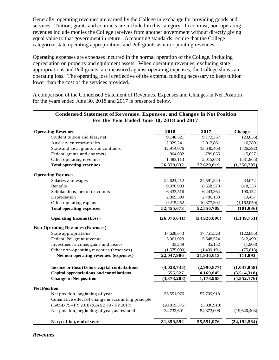Generally, operating revenues are earned by the College in exchange for providing goods and services. Tuition, grants and contracts are included in this category. In contrast, non-operating revenues include monies the College receives from another government without directly giving equal value to that government in return. Accounting standards require that the College categorize state operating appropriations and Pell grants as non-operating revenues.

Operating expenses are expenses incurred in the normal operation of the College, including depreciation on property and equipment assets. When operating revenues, excluding state appropriations and Pell grants, are measured against operating expenses, the College shows an operating loss. The operating loss is reflective of the external funding necessary to keep tuition lower than the cost of the services provided.

A comparison of the Condensed Statement of Revenues, Expenses and Changes in Net Position for the years ended June 30, 2018 and 2017 is presented below.

| <b>Condensed Statement of Revenues, Expenses, and Changes in Net Position</b> |                |              |                |  |  |
|-------------------------------------------------------------------------------|----------------|--------------|----------------|--|--|
| For the Year Ended June 30, 2018 and 2017                                     |                |              |                |  |  |
| <b>Operating Revenues</b>                                                     | 2018           | 2017         | <b>Change</b>  |  |  |
| Student tuition and fees, net                                                 | 9,148,521      | 9,172,357    | (23, 836)      |  |  |
| Auxiliary enterprise sales                                                    | 2,029,241      | 2,012,861    | 16,380         |  |  |
| State and local grants and contracts                                          | 12,914,076     | 13,640,468   | (726, 392)     |  |  |
| Federal grants and contracts                                                  | 804,082        | 789,055      | 15,027         |  |  |
| Other operating revenues                                                      | 1,483,113      | 2,015,078    | (531,965)      |  |  |
| <b>Total operating revenues</b>                                               | 26,379,032     | 27,629,819   | (1,250,787)    |  |  |
| <b>Operating Expenses</b>                                                     |                |              |                |  |  |
| Salaries and wages                                                            | 24,624,412     | 24,591,340   | 33,072         |  |  |
| Benefits                                                                      | 9,376,903      | 8,558,570    | 818,333        |  |  |
| Scholarships, net of discounts                                                | 6,433,516      | 6,243,364    | 190,152        |  |  |
| Depreciation                                                                  | 2,805,590      | 2,786,133    | 19,457         |  |  |
| Other operating expenses                                                      | 9,215,252      | 10,377,302   | (1,162,050)    |  |  |
| <b>Total operating expenses</b>                                               | 52,455,673     | 52,556,709   | (101, 036)     |  |  |
| <b>Operating Income (Loss)</b>                                                | (26,076,641)   | (24,926,890) | (1,149,751)    |  |  |
| <b>Non-Operating Revenues (Expenses)</b>                                      |                |              |                |  |  |
| State appropriations                                                          | 17,628,643     | 17,751,528   | (122, 885)     |  |  |
| Federal Pell grant revenue                                                    | 5,961,023      | 5,648,524    | 312,499        |  |  |
| Investment income, gains and losses                                           | 33,249         | 35,152       | (1,903)        |  |  |
| Other non-operating revenues (expenses)                                       | (1,575,009)    | (1,499,191)  | (75, 818)      |  |  |
| Net non-operating revenues (expenses)                                         | 22,047,906     | 21,936,013   | 111,893        |  |  |
| Income or (loss) before capital contributions                                 | (4,028,735)    | (2,990,877)  | (1,037,858)    |  |  |
| Capital appropriations and contributions                                      | 655,527        | 4,169,845    | (3,514,318)    |  |  |
| <b>Change in Net position</b>                                                 | (3,373,208)    | 1,178,968    | (4, 552, 176)  |  |  |
| <b>Net Position</b>                                                           |                |              |                |  |  |
| Net position, beginning of year                                               | 55,551,976     | 57,709,918   |                |  |  |
| Cumulative effect of change in accounting principle                           |                |              |                |  |  |
| (GASB 75 - FY 2018) (GASB 73 - FY 2017)                                       | (20, 819, 375) | (3,336,910)  |                |  |  |
| Net position, beginning of year, as restated                                  | 34,732,601     | 54,373,008   | (19, 640, 408) |  |  |
| Net position, end of year                                                     | 31,359,392     | 55,551,976   | (24, 192, 584) |  |  |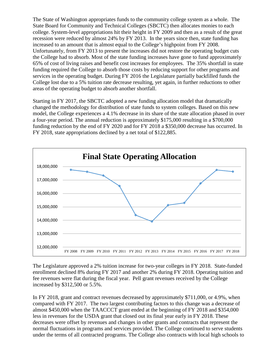The State of Washington appropriates funds to the community college system as a whole. The State Board for Community and Technical Colleges (SBCTC) then allocates monies to each college. System-level appropriations hit their height in FY 2009 and then as a result of the great recession were reduced by almost 24% by FY 2013. In the years since then, state funding has increased to an amount that is almost equal to the College's highpoint from FY 2008. Unfortunately, from FY 2013 to present the increases did not restore the operating budget cuts the College had to absorb. Most of the state funding increases have gone to fund approximately 65% of cost of living raises and benefit cost increases for employees. The 35% shortfall in state funding required the College to absorb those costs by reducing support for other programs and services in the operating budget. During FY 2016 the Legislature partially backfilled funds the College lost due to a 5% tuition rate decrease resulting, yet again, in further reductions to other areas of the operating budget to absorb another shortfall.

Starting in FY 2017, the SBCTC adopted a new funding allocation model that dramatically changed the methodology for distribution of state funds to system colleges. Based on this new model, the College experiences a 4.1% decrease in its share of the state allocation phased in over a four-year period. The annual reduction is approximately \$175,000 resulting in a \$700,000 funding reduction by the end of FY 2020 and for FY 2018 a \$350,000 decrease has occurred. In FY 2018, state appropriations declined by a net total of \$122,885.



The Legislature approved a 2% tuition increase for two-year colleges in FY 2018. State-funded enrollment declined 8% during FY 2017 and another 2% during FY 2018. Operating tuition and fee revenues were flat during the fiscal year. Pell grant revenues received by the College increased by \$312,500 or 5.5%.

In FY 2018, grant and contract revenues decreased by approximately \$711,000, or 4.9%, when compared with FY 2017. The two largest contributing factors to this change was a decrease of almost \$450,000 when the TAACCCT grant ended at the beginning of FY 2018 and \$354,000 less in revenues for the USDA grant that closed out its final year early in FY 2018. These decreases were offset by revenues and changes in other grants and contracts that represent the normal fluctuations in programs and services provided. The College continued to serve students under the terms of all contracted programs. The College also contracts with local high schools to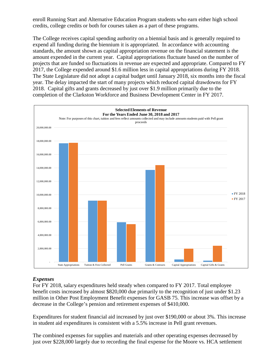enroll Running Start and Alternative Education Program students who earn either high school credits, college credits or both for courses taken as a part of these programs.

The College receives capital spending authority on a biennial basis and is generally required to expend all funding during the biennium it is appropriated. In accordance with accounting standards, the amount shown as capital appropriation revenue on the financial statement is the amount expended in the current year. Capital appropriations fluctuate based on the number of projects that are funded so fluctuations in revenue are expected and appropriate. Compared to FY 2017, the College expended around \$1.6 million less in capital appropriations during FY 2018. The State Legislature did not adopt a capital budget until January 2018, six months into the fiscal year. The delay impacted the start of many projects which reduced capital drawdowns for FY 2018. Capital gifts and grants decreased by just over \$1.9 million primarily due to the completion of the Clarkston Workforce and Business Development Center in FY 2017.



#### *Expenses*

For FY 2018, salary expenditures held steady when compared to FY 2017. Total employee benefit costs increased by almost \$820,000 due primarily to the recognition of just under \$1.23 million in Other Post Employment Benefit expenses for GASB 75. This increase was offset by a decrease in the College's pension and retirement expenses of \$410,000.

Expenditures for student financial aid increased by just over \$190,000 or about 3%. This increase in student aid expenditures is consistent with a 5.5% increase in Pell grant revenues.

The combined expenses for supplies and materials and other operating expenses decreased by just over \$228,000 largely due to recording the final expense for the Moore vs. HCA settlement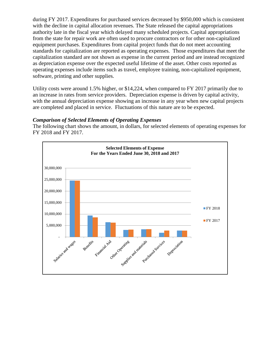during FY 2017. Expenditures for purchased services decreased by \$950,000 which is consistent with the decline in capital allocation revenues. The State released the capital appropriations authority late in the fiscal year which delayed many scheduled projects. Capital appropriations from the state for repair work are often used to procure contractors or for other non-capitalized equipment purchases. Expenditures from capital project funds that do not meet accounting standards for capitalization are reported as operating expenses. Those expenditures that meet the capitalization standard are not shown as expense in the current period and are instead recognized as depreciation expense over the expected useful lifetime of the asset. Other costs reported as operating expenses include items such as travel, employee training, non-capitalized equipment, software, printing and other supplies.

Utility costs were around 1.5% higher, or \$14,224, when compared to FY 2017 primarily due to an increase in rates from service providers. Depreciation expense is driven by capital activity, with the annual depreciation expense showing an increase in any year when new capital projects are completed and placed in service. Fluctuations of this nature are to be expected.

#### *Comparison of Selected Elements of Operating Expenses*

The following chart shows the amount, in dollars, for selected elements of operating expenses for FY 2018 and FY 2017.

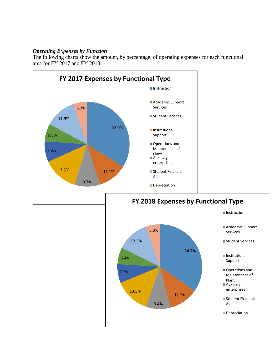#### *Operating Expenses by Function*

The following charts show the amount, by percentage, of operating expenses for each functional area for FY 2017 and FY 2018.

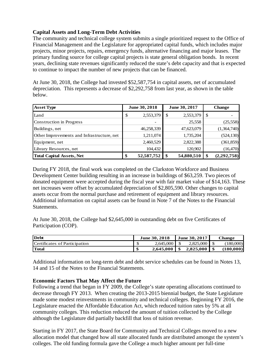#### **Capital Assets and Long-Term Debt Activities**

The community and technical college system submits a single prioritized request to the Office of Financial Management and the Legislature for appropriated capital funds, which includes major projects, minor projects, repairs, emergency funds, alternative financing and major leases. The primary funding source for college capital projects is state general obligation bonds. In recent years, declining state revenues significantly reduced the state's debt capacity and that is expected to continue to impact the number of new projects that can be financed.

At June 30, 2018, the College had invested \$52,587,754 in capital assets, net of accumulated depreciation. This represents a decrease of \$2,292,758 from last year, as shown in the table below.

| <b>Asset Type</b>                          | <b>June 30, 2018</b> |            | June 30, 2017 |            |   | <b>Change</b> |
|--------------------------------------------|----------------------|------------|---------------|------------|---|---------------|
| Land                                       | \$                   | 2,553,379  | \$            | 2,553,379  | S |               |
| Construction in Progress                   |                      |            |               | 25,558     |   | (25, 558)     |
| Buildings, net                             |                      | 46,258,339 |               | 47,623,079 |   | (1,364,740)   |
| Other Improvements and Infrastructure, net |                      | 1,211,074  |               | 1,735,204  |   | (524, 130)    |
| Equipment, net                             |                      | 2,460,529  |               | 2,822,388  |   | (361, 859)    |
| Library Resources, net                     |                      | 104,432    |               | 120,902    |   | (16, 470)     |
| <b>Total Capital Assets, Net</b>           |                      | 52,587,752 | \$            | 54,880,510 |   | (2,292,758)   |

During FY 2018, the final work was completed on the Clarkston Workforce and Business Development Center building resulting in an increase in buildings of \$63,259. Two pieces of donated equipment were accepted during the fiscal year with fair market value of \$14,163. These net increases were offset by accumulated depreciation of \$2,805,590. Other changes to capital assets occur from the normal purchase and retirement of equipment and library resources. Additional information on capital assets can be found in Note 7 of the Notes to the Financial Statements.

At June 30, 2018, the College had \$2,645,000 in outstanding debt on five Certificates of Participation (COP).

| <b>Debt</b>                   | <b>June 30, 2018</b> | <b>June 30, 2017</b> | Change    |
|-------------------------------|----------------------|----------------------|-----------|
| Certificates of Participation | 2.645,000            | 2,825,000            | (180.000) |
| <b>Total</b>                  | 2,645,000            | 2,825,000            | (180.000) |

Additional information on long-term debt and debt service schedules can be found in Notes 13, 14 and 15 of the Notes to the Financial Statements.

#### **Economic Factors That May Affect the Future**

Following a trend that began in FY 2009, the College's state operating allocations continued to decrease through FY 2013. When creating the 2013-2015 biennial budget, the State Legislature made some modest reinvestments in community and technical colleges. Beginning FY 2016, the Legislature enacted the Affordable Education Act, which reduced tuition rates by 5% at all community colleges. This reduction reduced the amount of tuition collected by the College although the Legislature did partially backfill that loss of tuition revenue.

Starting in FY 2017, the State Board for Community and Technical Colleges moved to a new allocation model that changed how all state allocated funds are distributed amongst the system's colleges. The old funding formula gave the College a much higher amount per full-time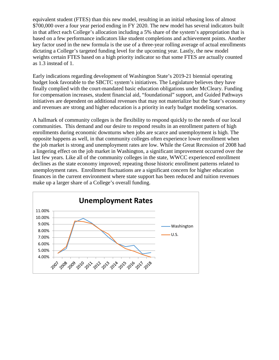equivalent student (FTES) than this new model, resulting in an initial rebasing loss of almost \$700,000 over a four year period ending in FY 2020. The new model has several indicators built in that affect each College's allocation including a 5% share of the system's appropriation that is based on a few performance indicators like student completions and achievement points. Another key factor used in the new formula is the use of a three-year rolling average of actual enrollments dictating a College's targeted funding level for the upcoming year. Lastly, the new model weights certain FTES based on a high priority indicator so that some FTES are actually counted as 1.3 instead of 1.

Early indications regarding development of Washington State's 2019-21 biennial operating budget look favorable to the SBCTC system's initiatives. The Legislature believes they have finally complied with the court-mandated basic education obligations under McCleary. Funding for compensation increases, student financial aid, "foundational" support, and Guided Pathways initiatives are dependent on additional revenues that may not materialize but the State's economy and revenues are strong and higher education is a priority in early budget modeling scenarios.

A hallmark of community colleges is the flexibility to respond quickly to the needs of our local communities. This demand and our desire to respond results in an enrollment pattern of high enrollments during economic downturns when jobs are scarce and unemployment is high. The opposite happens as well, in that community colleges often experience lower enrollment when the job market is strong and unemployment rates are low. While the Great Recession of 2008 had a lingering effect on the job market in Washington, a significant improvement occurred over the last few years. Like all of the community colleges in the state, WWCC experienced enrollment declines as the state economy improved; repeating those historic enrollment patterns related to unemployment rates. Enrollment fluctuations are a significant concern for higher education finances in the current environment where state support has been reduced and tuition revenues make up a larger share of a College's overall funding.

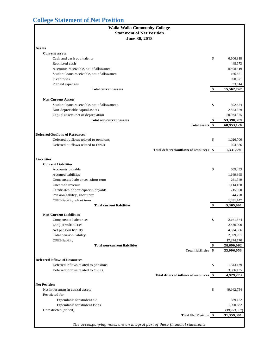# <span id="page-14-0"></span>**College Statement of Net Position**

| <b>Walla Walla Community College</b>                                      |                  |
|---------------------------------------------------------------------------|------------------|
| <b>Statement of Net Position</b>                                          |                  |
| June 30, 2018                                                             |                  |
|                                                                           |                  |
| Assets                                                                    |                  |
| <b>Current assets</b>                                                     |                  |
| Cash and cash equivalents                                                 | \$<br>6,106,818  |
| Restricted cash                                                           | 448,673          |
| Accounts receivable, net of allowance                                     | 8,408,519        |
| Student loans receivable, net of allowance                                | 166,451          |
| Inventories                                                               | 398,671          |
| Prepaid expenses                                                          | 33,614           |
| <b>Total current assets</b>                                               | \$<br>15,562,747 |
|                                                                           |                  |
| <b>Non-Current Assets</b>                                                 |                  |
| Student loans receivable, net of allowances                               | \$<br>802,624    |
| Non-depreciable capital assets                                            | 2,553,379        |
| Capital assets, net of depreciation                                       | 50,034,375       |
| <b>Total non-current assets</b>                                           | \$<br>53,390,379 |
| Total assets \$                                                           | 68,953,126       |
|                                                                           |                  |
| <b>Deferred Outflows of Resources</b>                                     |                  |
| Deferred outflows related to pensions                                     | \$<br>1,026,706  |
| Deferred outflows related to OPEB                                         | 304,886          |
| Total deferred outflows of resources \$                                   | 1,331,591        |
|                                                                           |                  |
| <b>Liabilities</b>                                                        |                  |
| <b>Current Liabilities</b>                                                |                  |
| Accounts payable                                                          | \$<br>609,453    |
| Accrued liabilities                                                       | 1,169,895        |
| Compensated absences, short term                                          | 261,549          |
| Unearned revenue                                                          | 1,114,168        |
| Certificates of participation payable                                     | 215,000          |
| Pension liability, short term                                             | 44,778           |
| OPEB liability, short term                                                | 1,891,147        |
| <b>Total current liabilities</b>                                          | \$<br>5,305,991  |
|                                                                           |                  |
| <b>Non-Current Liabilities</b>                                            |                  |
| Compensated absences                                                      | \$<br>2,161,574  |
| Long-term liabilities                                                     | 2,430,000        |
| Net pension liability                                                     | 4,324,366        |
| Total pension liability                                                   | 2,399,951        |
| <b>OPEB</b> liability                                                     | 17,374,170       |
| <b>Total non-current liabilities</b>                                      | \$<br>28,690,062 |
| Total liabilities \$                                                      | 33,996,053       |
|                                                                           |                  |
| <b>Deferred Inflows of Resources</b>                                      |                  |
| Deferred inflows related to pensions                                      | \$<br>1,843,139  |
| Deferred inflows related to OPEB                                          | 3,086,135        |
| Total deferred inflows of resources \$                                    | 4,929,273        |
| <b>Net Position</b>                                                       |                  |
| Net Investment in capital assets                                          | \$<br>49,942,754 |
| Restricted for:                                                           |                  |
|                                                                           |                  |
| Expendable for student aid                                                | 389,122          |
| Expendable for student loans                                              | 1,000,882        |
| Unrestricted (deficit)                                                    | (19, 973, 367)   |
| <b>Total Net Position \$</b>                                              | 31,359,391       |
| The accompanying notes are an integral part of these financial statements |                  |
|                                                                           |                  |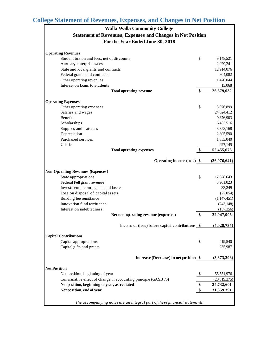# <span id="page-15-0"></span>**College Statement of Revenues, Expenses, and Changes in Net Position**

| <b>Walla Walla Community College</b>                                      |                   |                |
|---------------------------------------------------------------------------|-------------------|----------------|
| <b>Statement of Revenues, Expenses and Changes in Net Position</b>        |                   |                |
| For the Year Ended June 30, 2018                                          |                   |                |
|                                                                           |                   |                |
| <b>Operating Revenues</b>                                                 |                   |                |
| Student tuition and fees, net of discounts                                | \$                | 9,148,521      |
| Auxiliary enterprise sales                                                |                   | 2,029,241      |
| State and local grants and contracts                                      |                   | 12,914,076     |
| Federal grants and contracts                                              |                   | 804,082        |
| Other operating revenues                                                  |                   | 1,470,044      |
| Interest on loans to students                                             |                   | 13,068         |
| <b>Total operating revenue</b>                                            | $\boldsymbol{\$}$ | 26,379,032     |
|                                                                           |                   |                |
| <b>Operating Expenses</b>                                                 |                   |                |
| Other operating expenses                                                  | \$                | 3,076,899      |
| Salaries and wages                                                        |                   | 24,624,412     |
| <b>Benefits</b>                                                           |                   | 9,376,903      |
| Scholarships                                                              |                   | 6,433,516      |
| Supplies and materials                                                    |                   | 3,358,168      |
| Depreciation                                                              |                   | 2,805,590      |
| Purchased services                                                        |                   | 1,853,040      |
| <b>Utilities</b>                                                          |                   | 927,145        |
| <b>Total operating expenses</b>                                           | \$                | 52,455,673     |
|                                                                           |                   |                |
| Operating income (loss) \$                                                |                   | (26,076,641)   |
| <b>Non-Operating Revenues (Expenses)</b>                                  |                   |                |
| State appropriations                                                      | \$                | 17,628,643     |
| Federal Pell grant revenue                                                |                   | 5,961,023      |
| Investment income, gains and losses                                       |                   | 33,249         |
| Loss on disposal of capital assets                                        |                   | (27,054)       |
| Building fee remittance                                                   |                   | (1,147,451)    |
| Innovation fund remittance                                                |                   | (243, 148)     |
| Interest on indebtedness                                                  |                   | (157, 356)     |
| Net non-operating revenue (expenses)                                      | \$                | 22,047,906     |
|                                                                           |                   |                |
| Income or (loss) before capital contributions \$                          |                   | (4,028,735)    |
|                                                                           |                   |                |
| <b>Capital Contributions</b>                                              |                   |                |
| Capital appropriations                                                    | \$                | 419,540        |
| Capital gifts and grants                                                  |                   | 235,987        |
| Increase (Decrease) in net position \$                                    |                   | (3,373,208)    |
| <b>Net Position</b>                                                       |                   |                |
|                                                                           |                   |                |
| Net position, beginning of year                                           | \$                | 55,551,976     |
| Cummulative effect of change in accounting principle (GASB 75)            |                   | (20, 819, 375) |
| Net position, beginning of year, as restated                              | \$                | 34,732,601     |
| Net position, end of year                                                 | \$                | 31,359,391     |
|                                                                           |                   |                |
| The accompanying notes are an integral part of these financial statements |                   |                |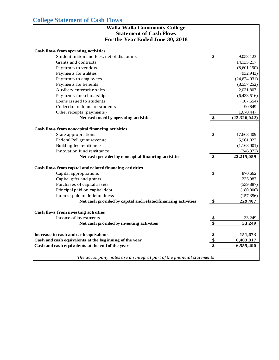# <span id="page-16-0"></span>**College Statement of Cash Flows**

| <b>Walla Walla Community College</b><br><b>Statement of Cash Flows</b> |                   |                |
|------------------------------------------------------------------------|-------------------|----------------|
| For the Year Ended June 30, 2018                                       |                   |                |
| Cash flows from operating activities                                   |                   |                |
| Student tuition and fees, net of discounts                             | \$                | 9,053,123      |
| Grants and contracts                                                   |                   | 14, 135, 217   |
| Payments to vendors                                                    |                   | (8,601,190)    |
| Payments for utilities                                                 |                   | (932, 943)     |
| Payments to employees                                                  |                   | (24, 674, 931) |
| Payments for benefits                                                  |                   | (8,557,252)    |
| Auxiliary enterprise sales                                             |                   | 2,031,807      |
| Payments for scholarships                                              |                   | (6,433,516)    |
| Loans issued to students                                               |                   | (107, 654)     |
| Collection of loans to students                                        |                   | 90,849         |
| Other receipts (payments)                                              |                   | 1,670,447      |
| Net cash used by operating activities                                  | \$                | (22, 326, 042) |
| Cash flows from noncapital financing activities                        |                   |                |
| State appropriations                                                   | \$                | 17,663,409     |
| Federal Pell grant revenue                                             |                   | 5,961,023      |
| Building fee remittance                                                |                   | (1,163,001)    |
| Innovation fund remittance                                             |                   | (246,372)      |
| Net cash provided by noncapital financing activities                   | \$                | 22,215,059     |
| Cash flows from capital and related financing activities               |                   |                |
| Capital appropriations                                                 | \$                | 870,662        |
| Capital gifts and grants                                               |                   | 235,987        |
| Purchases of capital assets                                            |                   | (539, 887)     |
| Principal paid on capital debt                                         |                   | (180,000)      |
| Interest paid on indebtedness                                          |                   | (157, 356)     |
| Net cash provided by capital and related financing activities          | $\boldsymbol{\$}$ | 229,407        |
| <b>Cash flows from investing activities</b>                            |                   |                |
| Income of investments                                                  | \$                | 33,249         |
| Net cash provided by investing activities                              | \$                | 33,249         |
| Increase in cash and cash equivalents                                  | \$                | 151,673        |
| Cash and cash equivalents at the beginning of the year                 | $\frac{1}{2}$     | 6,403,817      |
| Cash and cash equivalents at the end of the year                       | $\overline{\$}$   | 6,555,490      |
| The accompany notes are an integral part of the financial statements   |                   |                |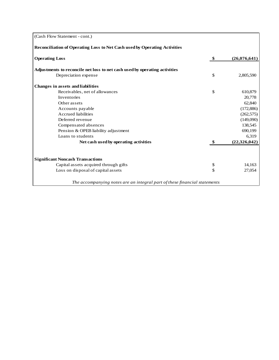| (Cash Flow Statement - cont.)                                              |                    |
|----------------------------------------------------------------------------|--------------------|
| Reconciliation of Operating Loss to Net Cash used by Operating Activities  |                    |
| <b>Operating Loss</b>                                                      | \$<br>(26,076,641) |
| Adjustments to reconcile net loss to net cash used by operating activities |                    |
| Depreciation expense                                                       | \$<br>2,805,590    |
| <b>Changes in assets and liabilities</b>                                   |                    |
| Receivables, net of allowances                                             | \$<br>610,879      |
| Inventories                                                                | 20,778             |
| Other assets                                                               | 62,840             |
| Accounts payable                                                           | (172, 886)         |
| <b>Accrued</b> liabilities                                                 | (262, 575)         |
| Deferred revenue                                                           | (149,090)          |
| Compensated absences                                                       | 138,545            |
| Pension & OPEB liability adjustment                                        | 690,199            |
| Loans to students                                                          | 6,319              |
| Net cash used by operating activities                                      | (22, 326, 042)     |
| <b>Significant Noncash Transactions</b>                                    |                    |
| Capital assets acquired through gifts                                      | \$<br>14,163       |
| Loss on disposal of capital assets                                         | \$<br>27,054       |
| The accompanying notes are an integral part of these financial statements  |                    |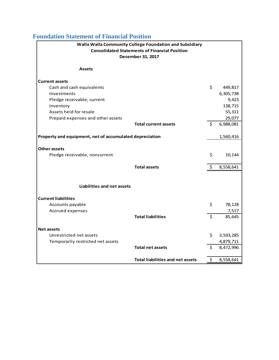# <span id="page-18-0"></span>**Foundation Statement of Financial Position**

| Walla Walla Community College Foundation and Subsidiary |                                                      |    |                        |  |  |  |  |
|---------------------------------------------------------|------------------------------------------------------|----|------------------------|--|--|--|--|
|                                                         | <b>Consolidated Statements of Financial Position</b> |    |                        |  |  |  |  |
|                                                         | December 31, 2017                                    |    |                        |  |  |  |  |
|                                                         |                                                      |    |                        |  |  |  |  |
| <b>Assets</b>                                           |                                                      |    |                        |  |  |  |  |
| <b>Current assets</b>                                   |                                                      |    |                        |  |  |  |  |
| Cash and cash equivalents                               |                                                      | \$ | 449,817                |  |  |  |  |
| Investments                                             |                                                      |    | 6,305,738              |  |  |  |  |
| Pledge receivable, current                              |                                                      |    | 9,423                  |  |  |  |  |
| Inventory                                               |                                                      |    | 138,715                |  |  |  |  |
| Assets held for resale                                  |                                                      |    | 55,311                 |  |  |  |  |
| Prepaid expenses and other assets                       |                                                      |    | 29,077                 |  |  |  |  |
|                                                         | <b>Total current assets</b>                          | \$ | 6,988,081              |  |  |  |  |
| Property and equipment, net of accumulated depreciation |                                                      |    | 1,560,416              |  |  |  |  |
|                                                         |                                                      |    |                        |  |  |  |  |
| Other assets                                            |                                                      |    |                        |  |  |  |  |
| Pledge receivable, noncurrent                           |                                                      | \$ | 10,144                 |  |  |  |  |
|                                                         |                                                      |    |                        |  |  |  |  |
|                                                         | <b>Total assets</b>                                  | \$ | 8,558,641              |  |  |  |  |
|                                                         |                                                      |    |                        |  |  |  |  |
| Liabilities and net assets                              |                                                      |    |                        |  |  |  |  |
| <b>Current liabilities</b>                              |                                                      |    |                        |  |  |  |  |
| Accounts payable                                        |                                                      | \$ | 78,128                 |  |  |  |  |
| Accrued expenses                                        |                                                      |    | 7,517                  |  |  |  |  |
|                                                         | <b>Total liabilities</b>                             | \$ | 85,645                 |  |  |  |  |
|                                                         |                                                      |    |                        |  |  |  |  |
| <b>Net assets</b><br>Unrestricted net assets            |                                                      | \$ |                        |  |  |  |  |
| Temporarily restricted net assets                       |                                                      |    | 3,593,285<br>4,879,711 |  |  |  |  |
|                                                         | <b>Total net assets</b>                              | \$ | 8,472,996              |  |  |  |  |
|                                                         |                                                      |    |                        |  |  |  |  |
|                                                         | <b>Total liabilities and net assets</b>              | \$ | 8,558,641              |  |  |  |  |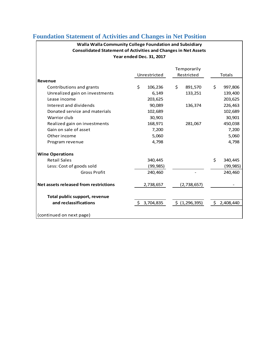| Walla Walla Community College Foundation and Subsidiary<br><b>Consolidated Statement of Activities and Changes in Net Assets</b><br>Year ended Dec. 31, 2017 |    |              |    |                           |    |               |  |
|--------------------------------------------------------------------------------------------------------------------------------------------------------------|----|--------------|----|---------------------------|----|---------------|--|
|                                                                                                                                                              |    | Unrestricted |    | Temporarily<br>Restricted |    | <b>Totals</b> |  |
| Revenue                                                                                                                                                      |    |              |    |                           |    |               |  |
| Contributions and grants                                                                                                                                     | Ś. | 106,236      | \$ | 891,570                   | \$ | 997,806       |  |
| Unrealized gain on investments                                                                                                                               |    | 6,149        |    | 133,251                   |    | 139,400       |  |
| Lease income                                                                                                                                                 |    | 203,625      |    |                           |    | 203,625       |  |
| Interest and dividends                                                                                                                                       |    | 90,089       |    | 136,374                   |    | 226,463       |  |
| Donated service and materials                                                                                                                                |    | 102,689      |    |                           |    | 102,689       |  |
| Warrior club                                                                                                                                                 |    | 30,901       |    |                           |    | 30,901        |  |
| Realized gain on investments                                                                                                                                 |    | 168,971      |    | 281,067                   |    | 450,038       |  |
| Gain on sale of asset                                                                                                                                        |    | 7,200        |    |                           |    | 7,200         |  |
| Other income                                                                                                                                                 |    | 5,060        |    |                           |    | 5,060         |  |
| Program revenue                                                                                                                                              |    | 4,798        |    |                           |    | 4,798         |  |
| <b>Wine Operations</b>                                                                                                                                       |    |              |    |                           |    |               |  |
| <b>Retail Sales</b>                                                                                                                                          |    | 340,445      |    |                           | \$ | 340,445       |  |
| Less: Cost of goods sold                                                                                                                                     |    | (99, 985)    |    |                           |    | (99, 985)     |  |
| <b>Gross Profit</b>                                                                                                                                          |    | 240,460      |    |                           |    | 240,460       |  |
| Net assets released from restrictions                                                                                                                        |    | 2,738,657    |    | (2,738,657)               |    |               |  |
| Total public support, revenue                                                                                                                                |    |              |    |                           |    |               |  |
| and reclassifications                                                                                                                                        |    | \$3,704,835  |    | \$ (1, 296, 395)          | \$ | 2,408,440     |  |
| (continued on next page)                                                                                                                                     |    |              |    |                           |    |               |  |

# <span id="page-19-0"></span>**Foundation Statement of Activities and Changes in Net Position**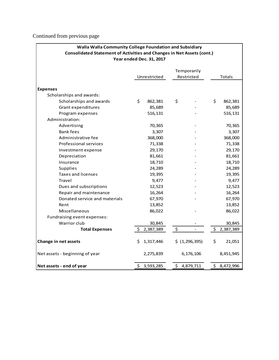Continued from previous page

| Walla Walla Community College Foundation and Subsidiary<br><b>Consolidated Statement of Activities and Changes in Net Assets (cont.)</b> |     |                          |    |                |    |               |
|------------------------------------------------------------------------------------------------------------------------------------------|-----|--------------------------|----|----------------|----|---------------|
|                                                                                                                                          |     | Year ended Dec. 31, 2017 |    |                |    |               |
|                                                                                                                                          |     |                          |    | Temporarily    |    |               |
|                                                                                                                                          |     | Unrestricted             |    | Restricted     |    | <b>Totals</b> |
| <b>Expenses</b>                                                                                                                          |     |                          |    |                |    |               |
| Scholarships and awards:                                                                                                                 |     |                          |    |                |    |               |
| Scholarships and awards                                                                                                                  | \$  | 862,381                  | \$ |                | \$ | 862,381       |
| Grant expenditures                                                                                                                       |     | 85,689                   |    |                |    | 85,689        |
| Program expenses                                                                                                                         |     | 516,131                  |    |                |    | 516,131       |
| Administration:                                                                                                                          |     |                          |    |                |    |               |
| Advertising                                                                                                                              |     | 70,365                   |    |                |    | 70,365        |
| <b>Bank fees</b>                                                                                                                         |     | 3,307                    |    |                |    | 3,307         |
| Administrative fee                                                                                                                       |     | 368,000                  |    |                |    | 368,000       |
| Professional services                                                                                                                    |     | 71,338                   |    |                |    | 71,338        |
| Investment expense                                                                                                                       |     | 29,170                   |    |                |    | 29,170        |
| Depreciation                                                                                                                             |     | 81,661                   |    |                |    | 81,661        |
| Insurance                                                                                                                                |     | 18,710                   |    |                |    | 18,710        |
| Supplies                                                                                                                                 |     | 24,289                   |    |                |    | 24,289        |
| Taxes and licenses                                                                                                                       |     | 19,395                   |    |                |    | 19,395        |
| Travel                                                                                                                                   |     | 9,477                    |    |                |    | 9,477         |
| Dues and subscriptions                                                                                                                   |     | 12,523                   |    |                |    | 12,523        |
| Repair and maintenance                                                                                                                   |     | 16,264                   |    |                |    | 16,264        |
| Donated service and materials                                                                                                            |     | 67,970                   |    |                |    | 67,970        |
| Rent                                                                                                                                     |     | 13,852                   |    |                |    | 13,852        |
| Miscellaneous                                                                                                                            |     | 86,022                   |    |                |    | 86,022        |
| Fundraising event expenses:                                                                                                              |     |                          |    |                |    |               |
| Warrior club                                                                                                                             |     | 30,845                   |    |                |    | 30,845        |
| <b>Total Expenses</b>                                                                                                                    | \$  | 2,387,389                | \$ | $\overline{a}$ | \$ | 2,387,389     |
| Change in net assets                                                                                                                     | S.  | 1,317,446                |    | \$ (1,296,395) | \$ | 21,051        |
| Net assets - beginning of year                                                                                                           |     | 2,275,839                |    | 6,176,106      |    | 8,451,945     |
| Net assets - end of year                                                                                                                 | \$. | 3,593,285                | \$ | 4,879,711      | \$ | 8,472,996     |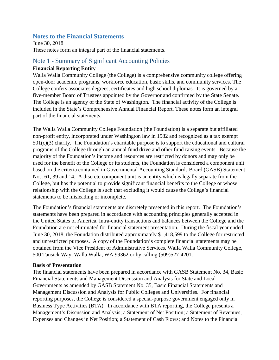#### <span id="page-21-0"></span>**Notes to the Financial Statements**

June 30, 2018 These notes form an integral part of the financial statements.

#### Note 1 - Summary of Significant Accounting Policies

#### **Financial Reporting Entity**

Walla Walla Community College (the College) is a comprehensive community college offering open-door academic programs, workforce education, basic skills, and community services. The College confers associates degrees, certificates and high school diplomas. It is governed by a five-member Board of Trustees appointed by the Governor and confirmed by the State Senate. The College is an agency of the State of Washington. The financial activity of the College is included in the State's Comprehensive Annual Financial Report. These notes form an integral part of the financial statements.

The Walla Walla Community College Foundation (the Foundation) is a separate but affiliated non-profit entity, incorporated under Washington law in 1982 and recognized as a tax exempt  $501(c)(3)$  charity. The Foundation's charitable purpose is to support the educational and cultural programs of the College through an annual fund drive and other fund raising events. Because the majority of the Foundation's income and resources are restricted by donors and may only be used for the benefit of the College or its students, the Foundation is considered a component unit based on the criteria contained in Governmental Accounting Standards Board (GASB) Statement Nos. 61, 39 and 14. A discrete component unit is an entity which is legally separate from the College, but has the potential to provide significant financial benefits to the College or whose relationship with the College is such that excluding it would cause the College's financial statements to be misleading or incomplete.

The Foundation's financial statements are discretely presented in this report. The Foundation's statements have been prepared in accordance with accounting principles generally accepted in the United States of America. Intra-entity transactions and balances between the College and the Foundation are not eliminated for financial statement presentation. During the fiscal year ended June 30, 2018, the Foundation distributed approximately \$1,418,599 to the College for restricted and unrestricted purposes. A copy of the Foundation's complete financial statements may be obtained from the Vice President of Administrative Services, Walla Walla Community College, 500 Tausick Way, Walla Walla, WA 99362 or by calling (509)527-4201.

#### **Basis of Presentation**

The financial statements have been prepared in accordance with GASB Statement No. 34, Basic Financial Statements and Management Discussion and Analysis for State and Local Governments as amended by GASB Statement No. 35, Basic Financial Statements and Management Discussion and Analysis for Public Colleges and Universities. For financial reporting purposes, the College is considered a special-purpose government engaged only in Business Type Activities (BTA). In accordance with BTA reporting, the College presents a Management's Discussion and Analysis; a Statement of Net Position; a Statement of Revenues, Expenses and Changes in Net Position; a Statement of Cash Flows; and Notes to the Financial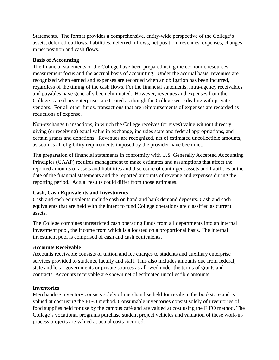Statements. The format provides a comprehensive, entity-wide perspective of the College's assets, deferred outflows, liabilities, deferred inflows, net position, revenues, expenses, changes in net position and cash flows.

#### **Basis of Accounting**

The financial statements of the College have been prepared using the economic resources measurement focus and the accrual basis of accounting. Under the accrual basis, revenues are recognized when earned and expenses are recorded when an obligation has been incurred, regardless of the timing of the cash flows. For the financial statements, intra-agency receivables and payables have generally been eliminated. However, revenues and expenses from the College's auxiliary enterprises are treated as though the College were dealing with private vendors. For all other funds, transactions that are reimbursements of expenses are recorded as reductions of expense.

Non-exchange transactions, in which the College receives (or gives) value without directly giving (or receiving) equal value in exchange, includes state and federal appropriations, and certain grants and donations. Revenues are recognized, net of estimated uncollectible amounts, as soon as all eligibility requirements imposed by the provider have been met.

The preparation of financial statements in conformity with U.S. Generally Accepted Accounting Principles (GAAP) requires management to make estimates and assumptions that affect the reported amounts of assets and liabilities and disclosure of contingent assets and liabilities at the date of the financial statements and the reported amounts of revenue and expenses during the reporting period. Actual results could differ from those estimates.

#### **Cash, Cash Equivalents and Investments**

Cash and cash equivalents include cash on hand and bank demand deposits. Cash and cash equivalents that are held with the intent to fund College operations are classified as current assets.

The College combines unrestricted cash operating funds from all departments into an internal investment pool, the income from which is allocated on a proportional basis. The internal investment pool is comprised of cash and cash equivalents.

#### **Accounts Receivable**

Accounts receivable consists of tuition and fee charges to students and auxiliary enterprise services provided to students, faculty and staff. This also includes amounts due from federal, state and local governments or private sources as allowed under the terms of grants and contracts. Accounts receivable are shown net of estimated uncollectible amounts.

#### **Inventories**

Merchandise inventory consists solely of merchandise held for resale in the bookstore and is valued at cost using the FIFO method. Consumable inventories consist solely of inventories of food supplies held for use by the campus café and are valued at cost using the FIFO method. The College's vocational programs purchase student project vehicles and valuation of these work-inprocess projects are valued at actual costs incurred.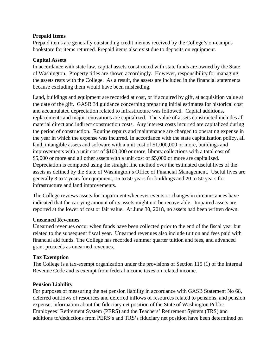#### **Prepaid Items**

Prepaid items are generally outstanding credit memos received by the College's on-campus bookstore for items returned. Prepaid items also exist due to deposits on equipment.

#### **Capital Assets**

In accordance with state law, capital assets constructed with state funds are owned by the State of Washington. Property titles are shown accordingly. However, responsibility for managing the assets rests with the College. As a result, the assets are included in the financial statements because excluding them would have been misleading.

Land, buildings and equipment are recorded at cost, or if acquired by gift, at acquisition value at the date of the gift. GASB 34 guidance concerning preparing initial estimates for historical cost and accumulated depreciation related to infrastructure was followed. Capital additions, replacements and major renovations are capitalized. The value of assets constructed includes all material direct and indirect construction costs. Any interest costs incurred are capitalized during the period of construction. Routine repairs and maintenance are charged to operating expense in the year in which the expense was incurred. In accordance with the state capitalization policy, all land, intangible assets and software with a unit cost of \$1,000,000 or more, buildings and improvements with a unit cost of \$100,000 or more, library collections with a total cost of \$5,000 or more and all other assets with a unit cost of \$5,000 or more are capitalized. Depreciation is computed using the straight line method over the estimated useful lives of the assets as defined by the State of Washington's Office of Financial Management. Useful lives are generally 3 to 7 years for equipment, 15 to 50 years for buildings and 20 to 50 years for infrastructure and land improvements.

The College reviews assets for impairment whenever events or changes in circumstances have indicated that the carrying amount of its assets might not be recoverable. Impaired assets are reported at the lower of cost or fair value. At June 30, 2018, no assets had been written down.

#### **Unearned Revenues**

Unearned revenues occur when funds have been collected prior to the end of the fiscal year but related to the subsequent fiscal year. Unearned revenues also include tuition and fees paid with financial aid funds. The College has recorded summer quarter tuition and fees, and advanced grant proceeds as unearned revenues.

#### **Tax Exemption**

The College is a tax-exempt organization under the provisions of Section 115 (1) of the Internal Revenue Code and is exempt from federal income taxes on related income.

#### **Pension Liability**

For purposes of measuring the net pension liability in accordance with GASB Statement No 68, deferred outflows of resources and deferred inflows of resources related to pensions, and pension expense, information about the fiduciary net position of the State of Washington Public Employees' Retirement System (PERS) and the Teachers' Retirement System (TRS) and additions to/deductions from PERS's and TRS's fiduciary net position have been determined on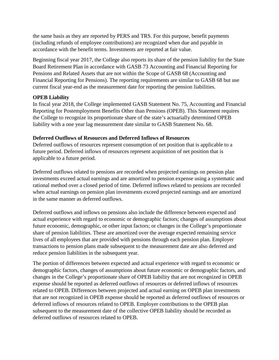the same basis as they are reported by PERS and TRS. For this purpose, benefit payments (including refunds of employee contributions) are recognized when due and payable in accordance with the benefit terms. Investments are reported at fair value.

Beginning fiscal year 2017, the College also reports its share of the pension liability for the State Board Retirement Plan in accordance with GASB 73 Accounting and Financial Reporting for Pensions and Related Assets that are not within the Scope of GASB 68 (Accounting and Financial Reporting for Pensions). The reporting requirements are similar to GASB 68 but use current fiscal year-end as the measurement date for reporting the pension liabilities.

#### **OPEB Liability**

In fiscal year 2018, the College implemented GASB Statement No. 75, Accounting and Financial Reporting for Postemployment Benefits Other than Pensions (OPEB). This Statement requires the College to recognize its proportionate share of the state's actuarially determined OPEB liability with a one year lag measurement date similar to GASB Statement No. 68.

#### **Deferred Outflows of Resources and Deferred Inflows of Resources**

Deferred outflows of resources represent consumption of net position that is applicable to a future period. Deferred inflows of resources represent acquisition of net position that is applicable to a future period.

Deferred outflows related to pensions are recorded when projected earnings on pension plan investments exceed actual earnings and are amortized to pension expense using a systematic and rational method over a closed period of time. Deferred inflows related to pensions are recorded when actual earnings on pension plan investments exceed projected earnings and are amortized in the same manner as deferred outflows.

Deferred outflows and inflows on pensions also include the difference between expected and actual experience with regard to economic or demographic factors; changes of assumptions about future economic, demographic, or other input factors; or changes in the College's proportionate share of pension liabilities. These are amortized over the average expected remaining service lives of all employees that are provided with pensions through each pension plan. Employer transactions to pension plans made subsequent to the measurement date are also deferred and reduce pension liabilities in the subsequent year.

The portion of differences between expected and actual experience with regard to economic or demographic factors, changes of assumptions about future economic or demographic factors, and changes in the College's proportionate share of OPEB liability that are not recognized in OPEB expense should be reported as deferred outflows of resources or deferred inflows of resources related to OPEB. Differences between projected and actual earning on OPEB plan investments that are not recognized in OPEB expense should be reported as deferred outflows of resources or deferred inflows of resources related to OPEB. Employer contributions to the OPEB plan subsequent to the measurement date of the collective OPEB liability should be recorded as deferred outflows of resources related to OPEB.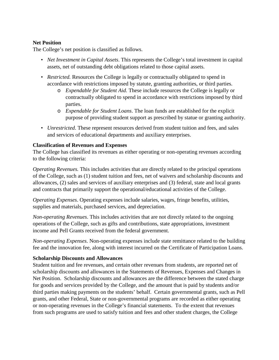#### **Net Position**

The College's net position is classified as follows.

- *Net Investment in Capital Assets*. This represents the College's total investment in capital assets, net of outstanding debt obligations related to those capital assets.
- *Restricted.* Resources the College is legally or contractually obligated to spend in accordance with restrictions imposed by statute, granting authorities, or third parties.
	- o *Expendable for Student Aid*. These include resources the College is legally or contractually obligated to spend in accordance with restrictions imposed by third parties.
	- o *Expendable for Student Loans*. The loan funds are established for the explicit purpose of providing student support as prescribed by statue or granting authority.
- *Unrestricted*. These represent resources derived from student tuition and fees, and sales and services of educational departments and auxiliary enterprises.

#### **Classification of Revenues and Expenses**

The College has classified its revenues as either operating or non-operating revenues according to the following criteria:

*Operating Revenues.* This includes activities that are directly related to the principal operations of the College, such as (1) student tuition and fees, net of waivers and scholarship discounts and allowances, (2) sales and services of auxiliary enterprises and (3) federal, state and local grants and contracts that primarily support the operational/educational activities of the College.

*Operating Expenses*. Operating expenses include salaries, wages, fringe benefits, utilities, supplies and materials, purchased services, and depreciation.

*Non-operating Revenues*. This includes activities that are not directly related to the ongoing operations of the College, such as gifts and contributions, state appropriations, investment income and Pell Grants received from the federal government.

*Non-operating Expenses*. Non-operating expenses include state remittance related to the building fee and the innovation fee, along with interest incurred on the Certificate of Participation Loans.

#### **Scholarship Discounts and Allowances**

Student tuition and fee revenues, and certain other revenues from students, are reported net of scholarship discounts and allowances in the Statements of Revenues, Expenses and Changes in Net Position. Scholarship discounts and allowances are the difference between the stated charge for goods and services provided by the College, and the amount that is paid by students and/or third parties making payments on the students' behalf. Certain governmental grants, such as Pell grants, and other Federal, State or non-governmental programs are recorded as either operating or non-operating revenues in the College's financial statements. To the extent that revenues from such programs are used to satisfy tuition and fees and other student charges, the College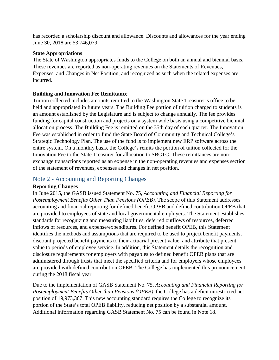has recorded a scholarship discount and allowance. Discounts and allowances for the year ending June 30, 2018 are \$3,746,079.

#### **State Appropriations**

The State of Washington appropriates funds to the College on both an annual and biennial basis. These revenues are reported as non-operating revenues on the Statements of Revenues, Expenses, and Changes in Net Position, and recognized as such when the related expenses are incurred.

#### **Building and Innovation Fee Remittance**

Tuition collected includes amounts remitted to the Washington State Treasurer's office to be held and appropriated in future years. The Building Fee portion of tuition charged to students is an amount established by the Legislature and is subject to change annually. The fee provides funding for capital construction and projects on a system wide basis using a competitive biennial allocation process. The Building Fee is remitted on the 35th day of each quarter. The Innovation Fee was established in order to fund the State Board of Community and Technical College's Strategic Technology Plan. The use of the fund is to implement new ERP software across the entire system. On a monthly basis, the College's remits the portion of tuition collected for the Innovation Fee to the State Treasurer for allocation to SBCTC. These remittances are nonexchange transactions reported as an expense in the non-operating revenues and expenses section of the statement of revenues, expenses and changes in net position.

#### Note 2 - Accounting and Reporting Changes

#### **Reporting Changes**

In June 2015, the GASB issued Statement No. 75, *Accounting and Financial Reporting for Postemployment Benefits Other Than Pensions (OPEB).* The scope of this Statement addresses accounting and financial reporting for defined benefit OPEB and defined contribution OPEB that are provided to employees of state and local governmental employers. The Statement establishes standards for recognizing and measuring liabilities, deferred outflows of resources, deferred inflows of resources, and expense/expenditures. For defined benefit OPEB, this Statement identifies the methods and assumptions that are required to be used to project benefit payments, discount projected benefit payments to their actuarial present value, and attribute that present value to periods of employee service. In addition, this Statement details the recognition and disclosure requirements for employers with payables to defined benefit OPEB plans that are administered through trusts that meet the specified criteria and for employers whose employees are provided with defined contribution OPEB. The College has implemented this pronouncement during the 2018 fiscal year.

Due to the implementation of GASB Statement No. 75, *Accounting and Financial Reporting for Postemployment Benefits Other than Pensions (OPEB),* the College has a deficit unrestricted net position of 19,973,367. This new accounting standard requires the College to recognize its portion of the State's total OPEB liability, reducing net position by a substantial amount. Additional information regarding GASB Statement No. 75 can be found in Note 18.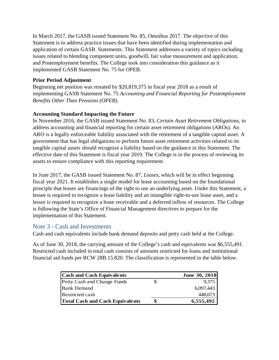In March 2017, the GASB issued Statement No. 85, Omnibus 2017. The objective of this Statement is to address practice issues that have been identified during implementation and application of certain GASB Statements. This Statement addresses a variety of topics including issues related to blending component units, goodwill, fair value measurement and application, and Postemployment benefits. The College took into consideration this guidance as it implemented GASB Statement No. 75 for OPEB.

#### **Prior Period Adjustment**

Beginning net position was restated by \$20,819,375 in fiscal year 2018 as a result of implementing GASB Statement No. 75 *Accounting and Financial Reporting for Postemployment Benefits Other Than Pensions (OPEB).*

#### **Accounting Standard Impacting the Future**

In November 2016, the GASB issued Statement No. 83, *Certain Asset Retirement Obligations,* to address accounting and financial reporting for certain asset retirement obligations (AROs). An ARO is a legally enforceable liability associated with the retirement of a tangible capital asset. A government that has legal obligations to perform future asset retirement activities related to its tangible capital assets should recognize a liability based on the guidance in this Statement. The effective date of this Statement is fiscal year 2019. The College is in the process of reviewing its assets to ensure compliance with this reporting requirement.

In June 2017, the GASB issued Statement No. 87, *Leases*, which will be in effect beginning fiscal year 2021. It establishes a single model for lease accounting based on the foundational principle that leases are financings of the right to use an underlying asset. Under this Statement, a lessee is required to recognize a lease liability and an intangible right-to-use lease asset, and a lessor is required to recognize a lease receivable and a deferred inflow of resources. The College is following the State's Office of Financial Management directives to prepare for the implementation of this Statement.

#### Note 3 - Cash and Investments

Cash and cash equivalents include bank demand deposits and petty cash held at the College.

As of June 30, 2018, the carrying amount of the College's cash and equivalents was \$6,555,491. Restricted cash included in total cash consists of amounts restricted for loans and institutional financial aid funds per RCW 28B.15.820. The classification is represented in the table below.

| <b>Cash and Cash Equivalents</b>       | June 30, 2018 |
|----------------------------------------|---------------|
| Petty Cash and Change Funds            | 9,375         |
| <b>Bank Demand</b>                     | 6,097,443     |
| <b>Restricted cash</b>                 | 448,673       |
| <b>Total Cash and Cash Equivalents</b> | 6,555,492     |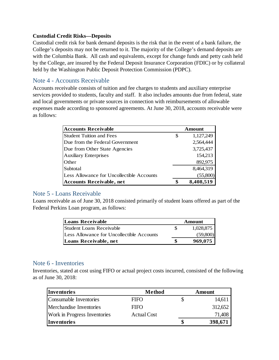#### **Custodial Credit Risks—Deposits**

Custodial credit risk for bank demand deposits is the risk that in the event of a bank failure, the College's deposits may not be returned to it. The majority of the College's demand deposits are with the Columbia Bank. All cash and equivalents, except for change funds and petty cash held by the College, are insured by the Federal Deposit Insurance Corporation (FDIC) or by collateral held by the Washington Public Deposit Protection Commission (PDPC).

#### Note 4 - Accounts Receivable

Accounts receivable consists of tuition and fee charges to students and auxiliary enterprise services provided to students, faculty and staff. It also includes amounts due from federal, state and local governments or private sources in connection with reimbursements of allowable expenses made according to sponsored agreements. At June 30, 2018, accounts receivable were as follows:

| <b>Accounts Receivable</b>                | Amount          |           |  |  |  |
|-------------------------------------------|-----------------|-----------|--|--|--|
| <b>Student Tuition and Fees</b>           | 1,127,249<br>\$ |           |  |  |  |
| Due from the Federal Government           |                 | 2,564,444 |  |  |  |
| Due from Other State Agencies             |                 | 3,725,437 |  |  |  |
| <b>Auxiliary Enterprises</b>              |                 | 154,213   |  |  |  |
| Other                                     | 892,975         |           |  |  |  |
| Subtotal                                  |                 | 8,464,319 |  |  |  |
| Less Allowance for Uncollectible Accounts |                 | (55,800)  |  |  |  |
| <b>Accounts Receivable, net</b>           | œ               | 8,408,519 |  |  |  |

#### Note 5 - Loans Receivable

Loans receivable as of June 30, 2018 consisted primarily of student loans offered as part of the Federal Perkins Loan program, as follows:

| <b>Loans Receivable</b>                   | Amount    |
|-------------------------------------------|-----------|
| Student Loans Receivable                  | 1,028,875 |
| Less Allowance for Uncollectible Accounts | (59,800)  |
| Loans Receivable, net                     | 969,075   |

#### Note 6 - Inventories

Inventories, stated at cost using FIFO or actual project costs incurred, consisted of the following as of June 30, 2018:

| <b>Inventories</b>                  | Method      | Amount  |
|-------------------------------------|-------------|---------|
| Consumable Inventories              | <b>FIFO</b> | 14,611  |
| Merchandise Inventories             | <b>FIFO</b> | 312,652 |
| <b>Work in Progress Inventories</b> | Actual Cost | 71,408  |
| <i><u><b>Inventories</b></u></i>    |             | 398,671 |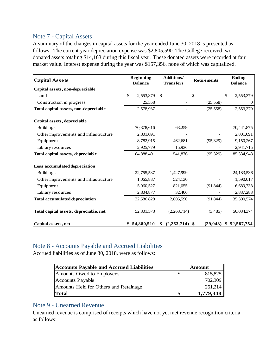#### Note 7 - Capital Assets

A summary of the changes in capital assets for the year ended June 30, 2018 is presented as follows. The current year depreciation expense was \$2,805,590. The College received two donated assets totaling \$14,163 during this fiscal year. These donated assets were recorded at fair market value. Interest expense during the year was \$157,356, none of which was capitalized.

| <b>Capital Assets</b>                  | <b>Beginning</b><br><b>Balance</b> | <b>Additions/</b><br><b>Transfers</b> | <b>Retirements</b> | <b>Ending</b><br><b>Balance</b> |
|----------------------------------------|------------------------------------|---------------------------------------|--------------------|---------------------------------|
| Capital assets, non-depreciable        |                                    |                                       |                    |                                 |
| Land                                   | \$<br>2,553,379                    | <sup>\$</sup>                         | \$                 | <sup>\$</sup><br>2,553,379      |
| Construction in progress               | 25,558                             |                                       | (25,558)           | $\mathbf{0}$                    |
| Total capital assets, non-depreciable  | 2,578,937                          |                                       | (25,558)           | 2,553,379                       |
| Capital assets, depreciable            |                                    |                                       |                    |                                 |
| <b>Buildings</b>                       | 70,378,616                         | 63,259                                |                    | 70,441,875                      |
| Other improvements and infrastructure  | 2,801,091                          |                                       |                    | 2,801,091                       |
| Equipment                              | 8,782,915                          | 462,681                               | (95, 329)          | 9,150,267                       |
| Library resources                      | 2,925,779                          | 15,936                                |                    | 2,941,715                       |
| Total capital assets, depreciable      | 84,888,401                         | 541,876                               | (95, 329)          | 85,334,948                      |
| Less accumulated depreciation          |                                    |                                       |                    |                                 |
| <b>Buildings</b>                       | 22,755,537                         | 1,427,999                             |                    | 24,183,536                      |
| Other improvements and infrastructure  | 1,065,887                          | 524,130                               |                    | 1,590,017                       |
| Equipment                              | 5,960,527                          | 821,055                               | (91, 844)          | 6,689,738                       |
| Library resources                      | 2,804,877                          | 32,406                                |                    | 2,837,283                       |
| <b>Total accumulated depreciation</b>  | 32,586,828                         | 2,805,590                             | (91, 844)          | 35,300,574                      |
| Total capital assets, depreciable, net | 52,301,573                         | (2,263,714)                           | (3,485)            | 50,034,374                      |
| Capital assets, net                    | \$54,880,510                       | $(2,263,714)$ \$<br>\$                | (29, 043)          | \$52,587,754                    |

#### Note 8 - Accounts Payable and Accrued Liabilities

Accrued liabilities as of June 30, 2018, were as follows:

| <b>Accounts Payable and Accrued Liabilities</b> | Amount    |
|-------------------------------------------------|-----------|
| Amounts Owed to Employees                       | 815,825   |
| <b>Accounts Payable</b>                         | 702,309   |
| Amounts Held for Others and Retainage           | 261,214   |
| <b>Total</b>                                    | 1,779,348 |

#### Note 9 - Unearned Revenue

Unearned revenue is comprised of receipts which have not yet met revenue recognition criteria, as follows: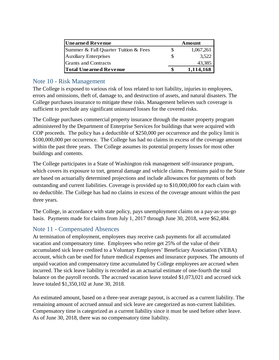| <b>Unearned Revenue</b>              | Amount |           |  |  |
|--------------------------------------|--------|-----------|--|--|
| Summer & Fall Quarter Tuition & Fees |        | 1,067,261 |  |  |
| <b>Auxiliary Enterprises</b>         |        | 3,522     |  |  |
| Grants and Contracts                 |        | 43,385    |  |  |
| <b>Total Unearned Revenue</b>        |        | 1,114,168 |  |  |

#### Note 10 - Risk Management

The College is exposed to various risk of loss related to tort liability, injuries to employees, errors and omissions, theft of, damage to, and destruction of assets, and natural disasters. The College purchases insurance to mitigate these risks. Management believes such coverage is sufficient to preclude any significant uninsured losses for the covered risks.

The College purchases commercial property insurance through the master property program administered by the Department of Enterprise Services for buildings that were acquired with COP proceeds. The policy has a deductible of \$250,000 per occurrence and the policy limit is \$100,000,000 per occurrence. The College has had no claims in excess of the coverage amount within the past three years. The College assumes its potential property losses for most other buildings and contents.

The College participates in a State of Washington risk management self-insurance program, which covers its exposure to tort, general damage and vehicle claims. Premiums paid to the State are based on actuarially determined projections and include allowances for payments of both outstanding and current liabilities. Coverage is provided up to \$10,000,000 for each claim with no deductible. The College has had no claims in excess of the coverage amount within the past three years.

The College, in accordance with state policy, pays unemployment claims on a pay-as-you-go basis. Payments made for claims from July 1, 2017 through June 30, 2018, were \$62,484.

#### Note 11 - Compensated Absences

At termination of employment, employees may receive cash payments for all accumulated vacation and compensatory time. Employees who retire get 25% of the value of their accumulated sick leave credited to a Voluntary Employees' Beneficiary Association (VEBA) account, which can be used for future medical expenses and insurance purposes. The amounts of unpaid vacation and compensatory time accumulated by College employees are accrued when incurred. The sick leave liability is recorded as an actuarial estimate of one-fourth the total balance on the payroll records. The accrued vacation leave totaled \$1,073,021 and accrued sick leave totaled \$1,350,102 at June 30, 2018.

An estimated amount, based on a three-year average payout, is accrued as a current liability. The remaining amount of accrued annual and sick leave are categorized as non-current liabilities. Compensatory time is categorized as a current liability since it must be used before other leave. As of June 30, 2018, there was no compensatory time liability.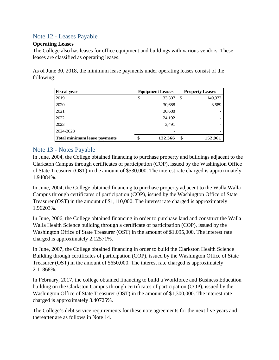### Note 12 - Leases Payable

#### **Operating Leases**

The College also has leases for office equipment and buildings with various vendors. These leases are classified as operating leases.

As of June 30, 2018, the minimum lease payments under operating leases consist of the following:

| <b>Fiscal year</b>           |    | <b>Equipment Leases</b> |    | <b>Property Leases</b> |
|------------------------------|----|-------------------------|----|------------------------|
| 2019                         | \$ | 33,307                  | \$ | 149,372                |
| 2020                         |    | 30,688                  |    | 3,589                  |
| 2021                         |    | 30,688                  |    |                        |
| 2022                         |    | 24,192                  |    |                        |
| 2023                         |    | 3,491                   |    |                        |
| 2024-2028                    |    |                         |    |                        |
| Total minimum lease payments | ¢  | 122,366                 | \$ | 152,961                |

#### Note 13 - Notes Payable

In June, 2004, the College obtained financing to purchase property and buildings adjacent to the Clarkston Campus through certificates of participation (COP), issued by the Washington Office of State Treasurer (OST) in the amount of \$530,000. The interest rate charged is approximately 1.94084%.

In June, 2004, the College obtained financing to purchase property adjacent to the Walla Walla Campus through certificates of participation (COP), issued by the Washington Office of State Treasurer (OST) in the amount of \$1,110,000. The interest rate charged is approximately 1.96203%.

In June, 2006, the College obtained financing in order to purchase land and construct the Walla Walla Health Science building through a certificate of participation (COP), issued by the Washington Office of State Treasurer (OST) in the amount of \$1,095,000. The interest rate charged is approximately 2.12571%.

In June, 2007, the College obtained financing in order to build the Clarkston Health Science Building through certificates of participation (COP), issued by the Washington Office of State Treasurer (OST) in the amount of \$650,000. The interest rate charged is approximately 2.11868%.

In February, 2017, the college obtained financing to build a Workforce and Business Education building on the Clarkston Campus through certificates of participation (COP), issued by the Washington Office of State Treasurer (OST) in the amount of \$1,300,000. The interest rate charged is approximately 3.40725%.

The College's debt service requirements for these note agreements for the next five years and thereafter are as follows in Note 14.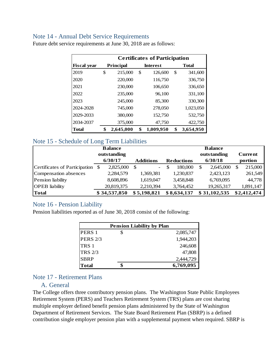#### Note 14 - Annual Debt Service Requirements

|                    | <b>Certificates of Participation</b> |           |    |                 |    |              |  |  |
|--------------------|--------------------------------------|-----------|----|-----------------|----|--------------|--|--|
| <b>Fiscal year</b> |                                      | Principal |    | <b>Interest</b> |    | <b>Total</b> |  |  |
| 2019               | \$                                   | 215,000   | \$ | 126,600         | \$ | 341,600      |  |  |
| 2020               |                                      | 220,000   |    | 116,750         |    | 336,750      |  |  |
| 2021               |                                      | 230,000   |    | 106,650         |    | 336,650      |  |  |
| 2022               |                                      | 235,000   |    | 96,100          |    | 331,100      |  |  |
| 2023               |                                      | 245,000   |    | 85,300          |    | 330,300      |  |  |
| 2024-2028          |                                      | 745,000   |    | 278,050         |    | 1,023,050    |  |  |
| 2029-2033          |                                      | 380,000   |    | 152,750         |    | 532,750      |  |  |
| 2034-2037          |                                      | 375,000   |    | 47,750          |    | 422,750      |  |  |
| Total              | \$                                   | 2,645,000 | \$ | 1,009,950       | \$ | 3,654,950    |  |  |

Future debt service requirements at June 30, 2018 are as follows:

#### Note 15 - Schedule of Long Term Liabilities

|                               | <b>Balance</b> |              |   |                  |  |                   | <b>Balance</b>  |   |                |
|-------------------------------|----------------|--------------|---|------------------|--|-------------------|-----------------|---|----------------|
|                               |                | outstanding  |   |                  |  |                   | outstanding     |   | <b>Current</b> |
|                               |                | 6/30/17      |   | <b>Additions</b> |  | <b>Reductions</b> | 6/30/18         |   | portion        |
| Certificates of Participation | S              | 2,825,000    | S | $\overline{a}$   |  | 180,000           | \$<br>2,645,000 | S | 215,000        |
| Compensation absences         |                | 2,284,579    |   | 1,369,381        |  | 1,230,837         | 2,423,123       |   | 261,549        |
| Pension liability             |                | 8,608,896    |   | 1,619,047        |  | 3,458,848         | 6,769,095       |   | 44,778         |
| <b>OPEB</b> liability         |                | 20,819,375   |   | 2,210,394        |  | 3,764,452         | 19,265,317      |   | 1,891,147      |
| <b>Total</b>                  |                | \$34,537,850 |   | \$5,198,821      |  | \$8,634,137       | \$31,102,535    |   | \$2,412,474    |

#### Note 16 - Pension Liability

Pension liabilities reported as of June 30, 2018 consist of the following:

|                   | <b>Pension Liability by Plan</b> |           |  |  |  |  |  |  |
|-------------------|----------------------------------|-----------|--|--|--|--|--|--|
| PERS <sub>1</sub> |                                  | 2,085,747 |  |  |  |  |  |  |
| <b>PERS 2/3</b>   |                                  | 1,944,203 |  |  |  |  |  |  |
| TRS <sub>1</sub>  |                                  | 246,608   |  |  |  |  |  |  |
| <b>TRS 2/3</b>    |                                  | 47,808    |  |  |  |  |  |  |
| <b>SBRP</b>       |                                  | 2,444,729 |  |  |  |  |  |  |
| <b>Total</b>      |                                  | 6,769,095 |  |  |  |  |  |  |

#### Note 17 - Retirement Plans

#### A. General

The College offers three contributory pension plans. The Washington State Public Employees Retirement System (PERS) and Teachers Retirement System (TRS) plans are cost sharing multiple employer defined benefit pension plans administered by the State of Washington Department of Retirement Services. The State Board Retirement Plan (SBRP) is a defined contribution single employer pension plan with a supplemental payment when required. SBRP is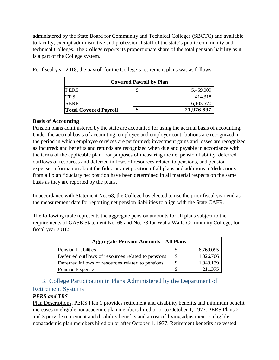administered by the State Board for Community and Technical Colleges (SBCTC) and available to faculty, exempt administrative and professional staff of the state's public community and technical Colleges. The College reports its proportionate share of the total pension liability as it is a part of the College system.

|                              | <b>Covered Payroll by Plan</b> |            |
|------------------------------|--------------------------------|------------|
| <b>PERS</b>                  |                                | 5,459,009  |
| <b>TRS</b>                   |                                | 414,318    |
| <b>SBRP</b>                  |                                | 16,103,570 |
| <b>Total Covered Payroll</b> | J.                             | 21,976,897 |

For fiscal year 2018, the payroll for the College's retirement plans was as follows:

#### **Basis of Accounting**

Pension plans administered by the state are accounted for using the accrual basis of accounting. Under the accrual basis of accounting, employee and employer contributions are recognized in the period in which employee services are performed; investment gains and losses are recognized as incurred; and benefits and refunds are recognized when due and payable in accordance with the terms of the applicable plan. For purposes of measuring the net pension liability, deferred outflows of resources and deferred inflows of resources related to pensions, and pension expense, information about the fiduciary net position of all plans and additions to/deductions from all plan fiduciary net position have been determined in all material respects on the same basis as they are reported by the plans.

In accordance with Statement No. 68, the College has elected to use the prior fiscal year end as the measurement date for reporting net pension liabilities to align with the State CAFR.

The following table represents the aggregate pension amounts for all plans subject to the requirements of GASB Statement No. 68 and No. 73 for Walla Walla Community College, for fiscal year 2018:

| <b>Aggregate Pension Amounts - All Plans</b>       |   |           |  |  |  |  |  |
|----------------------------------------------------|---|-----------|--|--|--|--|--|
| <b>Pension Liabilities</b>                         | Ъ | 6,769,095 |  |  |  |  |  |
| Deferred outflows of resources related to pensions | S | 1,026,706 |  |  |  |  |  |
| Deferred inflows of resources related to pensions  | S | 1,843,139 |  |  |  |  |  |
| <b>Pension Expense</b>                             |   | 211,375   |  |  |  |  |  |

# B. College Participation in Plans Administered by the Department of Retirement Systems

#### *PERS and TRS*

Plan Descriptions. PERS Plan 1 provides retirement and disability benefits and minimum benefit increases to eligible nonacademic plan members hired prior to October 1, 1977. PERS Plans 2 and 3 provide retirement and disability benefits and a cost-of-living adjustment to eligible nonacademic plan members hired on or after October 1, 1977. Retirement benefits are vested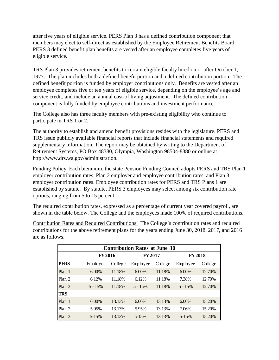after five years of eligible service. PERS Plan 3 has a defined contribution component that members may elect to self-direct as established by the Employee Retirement Benefits Board. PERS 3 defined benefit plan benefits are vested after an employee completes five years of eligible service.

TRS Plan 3 provides retirement benefits to certain eligible faculty hired on or after October 1, 1977. The plan includes both a defined benefit portion and a defined contribution portion. The defined benefit portion is funded by employer contributions only. Benefits are vested after an employee completes five or ten years of eligible service, depending on the employee's age and service credit, and include an annual cost-of living adjustment. The defined contribution component is fully funded by employee contributions and investment performance.

The College also has three faculty members with pre-existing eligibility who continue to participate in TRS 1 or 2.

The authority to establish and amend benefit provisions resides with the legislature. PERS and TRS issue publicly available financial reports that include financial statements and required supplementary information. The report may be obtained by writing to the Department of Retirement Systems, PO Box 48380, Olympia, Washington 98504-8380 or online at http://www.drs.wa.gov/administration.

Funding Policy. Each biennium, the state Pension Funding Council adopts PERS and TRS Plan 1 employer contribution rates, Plan 2 employer and employee contribution rates, and Plan 3 employer contribution rates. Employee contribution rates for PERS and TRS Plans 1 are established by statute. By statute, PERS 3 employees may select among six contribution rate options, ranging from 5 to 15 percent.

The required contribution rates, expressed as a percentage of current year covered payroll, are shown in the table below. The College and the employees made 100% of required contributions.

Contribution Rates and Required Contributions. The College's contribution rates and required contributions for the above retirement plans for the years ending June 30, 2018, 2017, and 2016 are as follows.

| <b>Contribution Rates at June 30</b> |               |         |                |         |                |         |  |  |
|--------------------------------------|---------------|---------|----------------|---------|----------------|---------|--|--|
|                                      | <b>FY2016</b> |         | <b>FY 2017</b> |         | <b>FY 2018</b> |         |  |  |
| <b>PERS</b>                          | Employee      | College | Employee       | College | Employee       | College |  |  |
| Plan 1                               | 6.00%         | 11.18%  | $6.00\%$       | 11.18%  | $6.00\%$       | 12.70%  |  |  |
| Plan 2                               | 6.12%         | 11.18%  | 6.12%          | 11.18%  | 7.38%          | 12.70%  |  |  |
| Plan 3                               | $5 - 15%$     | 11.18%  | $5 - 15\%$     | 11.18%  | $5 - 15\%$     | 12.70%  |  |  |
| <b>TRS</b>                           |               |         |                |         |                |         |  |  |
| Plan 1                               | 6.00%         | 13.13%  | $6.00\%$       | 13.13%  | $6.00\%$       | 15.20%  |  |  |
| Plan 2                               | 5.95%         | 13.13%  | 5.95%          | 13.13%  | 7.06%          | 15.20%  |  |  |
| Plan 3                               | $5 - 15%$     | 13.13%  | $5 - 15%$      | 13.13%  | $5 - 15%$      | 15.20%  |  |  |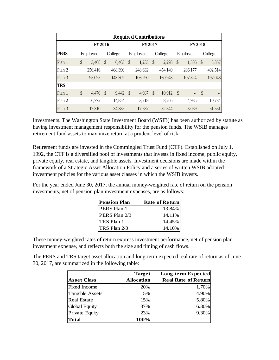| <b>Required Contributions</b> |    |          |                         |         |               |          |               |         |               |                          |               |         |
|-------------------------------|----|----------|-------------------------|---------|---------------|----------|---------------|---------|---------------|--------------------------|---------------|---------|
|                               |    | FY 2016  |                         |         |               | FY 2017  |               |         |               | FY 2018                  |               |         |
| <b>PERS</b>                   |    | Employee |                         | College |               | Employee |               | College |               | Employee                 |               | College |
| Plan 1                        | \$ | 3,468    | \$                      | 6,463   | $\mathcal{S}$ | 1,233    | $\mathcal{S}$ | 2,293   | \$            | 1,586                    | $\mathcal{S}$ | 3,357   |
| Plan 2                        |    | 256,416  |                         | 468,390 |               | 248,632  |               | 454,149 |               | 286,177                  |               | 492,514 |
| Plan 3                        |    | 95,025   |                         | 143,302 |               | 106,290  |               | 160,943 |               | 107,324                  |               | 197,048 |
| <b>TRS</b>                    |    |          |                         |         |               |          |               |         |               |                          |               |         |
| Plan 1                        | \$ | 4,470    | $\sqrt[6]{\frac{1}{2}}$ | 9,442   | $\mathcal{S}$ | 4,987    | \$            | 10,912  | $\mathcal{S}$ | $\overline{\phantom{a}}$ | $\mathcal{S}$ |         |
| Plan 2                        |    | 6,772    |                         | 14,854  |               | 3,718    |               | 8,205   |               | 4,985                    |               | 10,734  |
| Plan 3                        |    | 17,310   |                         | 34,385  |               | 17,587   |               | 32,844  |               | 23,059                   |               | 51,551  |

Investments. The Washington State Investment Board (WSIB) has been authorized by statute as having investment management responsibility for the pension funds. The WSIB manages retirement fund assets to maximize return at a prudent level of risk.

Retirement funds are invested in the Commingled Trust Fund (CTF). Established on July 1, 1992, the CTF is a diversified pool of investments that invests in fixed income, public equity, private equity, real estate, and tangible assets. Investment decisions are made within the framework of a Strategic Asset Allocation Policy and a series of written WSIB adopted investment policies for the various asset classes in which the WSIB invests.

For the year ended June 30, 2017, the annual money-weighted rate of return on the pension investments, net of pension plan investment expenses, are as follows:

| <b>Pension Plan</b> | <b>Rate of Return</b> |
|---------------------|-----------------------|
| PERS Plan 1         | 13.84%                |
| PERS Plan 2/3       | 14.11%                |
| TRS Plan 1          | 14.45%                |
| TRS Plan 2/3        | 14.10%                |

These money-weighted rates of return express investment performance, net of pension plan investment expense, and reflects both the size and timing of cash flows.

The PERS and TRS target asset allocation and long-term expected real rate of return as of June 30, 2017, are summarized in the following table:

|                        | <b>Target</b>     | Long-term Expected         |
|------------------------|-------------------|----------------------------|
| <b>Asset Class</b>     | <b>Allocation</b> | <b>Real Rate of Return</b> |
| <b>Fixed Income</b>    | 20%               | 1.70%                      |
| <b>Tangible Assets</b> | 5%                | 4.90%                      |
| <b>Real Estate</b>     | 15%               | 5.80%                      |
| <b>Global Equity</b>   | 37%               | 6.30%                      |
| <b>Private Equity</b>  | 23%               | 9.30%                      |
| <b>Total</b>           | 100%              |                            |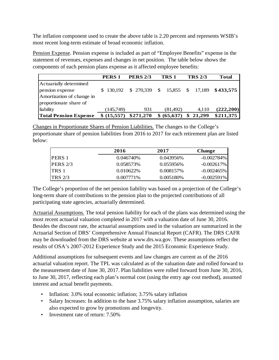The inflation component used to create the above table is 2.20 percent and represents WSIB's most recent long-term estimate of broad economic inflation.

Pension Expense. Pension expense is included as part of "Employee Benefits" expense in the statement of revenues, expenses and changes in net position. The table below shows the components of each pension plans expense as it affected employee benefits:

|                              | <b>PERS1</b> | <b>PERS 2/3</b> | TRS <sub>1</sub>        | <b>TRS 2/3</b> | <b>Total</b>     |
|------------------------------|--------------|-----------------|-------------------------|----------------|------------------|
| Actuarially determined       |              |                 |                         |                |                  |
| pension expense              | \$130.192    |                 | $$270,339$ \$ 15,855 \$ |                | 17,189 \$433,575 |
| Amortization of change in    |              |                 |                         |                |                  |
| proportionate share of       |              |                 |                         |                |                  |
| liability                    | (145,749)    | 931             | (81,492)                | 4,110          | (222, 200)       |
| <b>Total Pension Expense</b> | \$ (15,557)  | \$271,270       | \$ (65,637)             | 21,299<br>\$   | \$211,375        |

Changes in Proportionate Shares of Pension Liabilities. The changes to the College's proportionate share of pension liabilities from 2016 to 2017 for each retirement plan are listed below:

|                | 2016         | 2017         | <b>Change</b> |
|----------------|--------------|--------------|---------------|
| <b>PERS</b> 1  | 0.046740\%   | $0.043956\%$ | $-0.002784\%$ |
| PERS $2/3$     | 0.058573\%   | $0.055956\%$ | $-0.002617\%$ |
| TRS 1          | $0.010622\%$ | 0.008157%    | $-0.002465\%$ |
| <b>TRS 2/3</b> | $0.007771\%$ | $0.005180\%$ | $-0.002591\%$ |

The College's proportion of the net pension liability was based on a projection of the College's long-term share of contributions to the pension plan to the projected contributions of all participating state agencies, actuarially determined.

Actuarial Assumptions. The total pension liability for each of the plans was determined using the most recent actuarial valuation completed in 2017 with a valuation date of June 30, 2016. Besides the discount rate, the actuarial assumptions used in the valuation are summarized in the Actuarial Section of DRS' Comprehensive Annual Financial Report (CAFR). The DRS CAFR may be downloaded from the DRS website at www.drs.wa.gov. These assumptions reflect the results of OSA's 2007-2012 Experience Study and the 2015 Economic Experience Study.

Additional assumptions for subsequent events and law changes are current as of the 2016 actuarial valuation report. The TPL was calculated as of the valuation date and rolled forward to the measurement date of June 30, 2017. Plan liabilities were rolled forward from June 30, 2016, to June 30, 2017, reflecting each plan's normal cost (using the entry age cost method), assumed interest and actual benefit payments.

- Inflation: 3.0% total economic inflation; 3.75% salary inflation
- Salary Increases: In addition to the base 3.75% salary inflation assumption, salaries are also expected to grow by promotions and longevity.
- Investment rate of return: 7.50%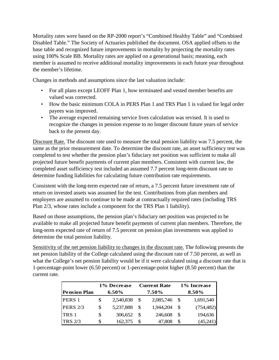Mortality rates were based on the RP-2000 report's "Combined Healthy Table" and "Combined Disabled Table." The Society of Actuaries published the document. OSA applied offsets to the base table and recognized future improvements in mortality by projecting the mortality rates using 100% Scale BB. Mortality rates are applied on a generational basis; meaning, each member is assumed to receive additional mortality improvements in each future year throughout the member's lifetime.

Changes in methods and assumptions since the last valuation include:

- For all plans except LEOFF Plan 1, how terminated and vested member benefits are valued was corrected.
- How the basic minimum COLA in PERS Plan 1 and TRS Plan 1 is valued for legal order payees was improved.
- The average expected remaining service lives calculation was revised. It is used to recognize the changes in pension expense to no longer discount future years of service back to the present day.

Discount Rate. The discount rate used to measure the total pension liability was 7.5 percent, the same as the prior measurement date. To determine the discount rate, an asset sufficiency test was completed to test whether the pension plan's fiduciary net position was sufficient to make all projected future benefit payments of current plan members. Consistent with current law, the completed asset sufficiency test included an assumed 7.7 percent long-term discount rate to determine funding liabilities for calculating future contribution rate requirements.

Consistent with the long-term expected rate of return, a 7.5 percent future investment rate of return on invested assets was assumed for the test. Contributions from plan members and employers are assumed to continue to be made at contractually required rates (including TRS Plan 2/3, whose rates include a component for the TRS Plan 1 liability).

Based on those assumptions, the pension plan's fiduciary net position was projected to be available to make all projected future benefit payments of current plan members. Therefore, the long-term expected rate of return of 7.5 percent on pension plan investments was applied to determine the total pension liability.

Sensitivity of the net pension liability to changes in the discount rate. The following presents the net pension liability of the College calculated using the discount rate of 7.50 percent, as well as what the College's net pension liability would be if it were calculated using a discount rate that is 1-percentage-point lower (6.50 percent) or 1-percentage-point higher (8.50 percent) than the current rate.

|                     | 1% Decrease |           |              | <b>Current Rate</b> | 1% Increase |            |  |
|---------------------|-------------|-----------|--------------|---------------------|-------------|------------|--|
| <b>Pension Plan</b> | 6.50%       |           | 7.50%        |                     | 8.50%       |            |  |
| PERS 1              | S           | 2,540,838 | <sup>S</sup> | 2,085,746           | <b>S</b>    | 1,691,540  |  |
| <b>PERS 2/3</b>     | \$          | 5,237,888 | -S           | 1,944,204           | -S          | (754, 482) |  |
| <b>TRS</b> 1        | \$          | 306,652   | <b>S</b>     | 246,608             | -S          | 194,636    |  |
| <b>TRS 2/3</b>      | \$          | 162,375   |              | 47,808              | <b>S</b>    | (45,241)   |  |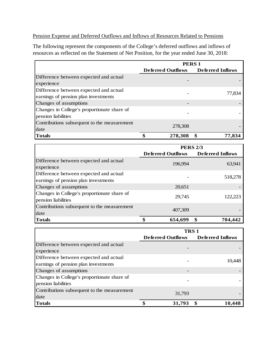#### Pension Expense and Deferred Outflows and Inflows of Resources Related to Pensions

The following represent the components of the College's deferred outflows and inflows of resources as reflected on the Statement of Net Position, for the year ended June 30, 2018:

|                                             | <b>PERS1</b>             |                         |  |  |  |  |
|---------------------------------------------|--------------------------|-------------------------|--|--|--|--|
|                                             | <b>Deferred Outflows</b> | <b>Deferred Inflows</b> |  |  |  |  |
| Difference between expected and actual      |                          |                         |  |  |  |  |
| experience                                  |                          |                         |  |  |  |  |
| Difference between expected and actual      |                          | 77,834                  |  |  |  |  |
| earnings of pension plan investments        |                          |                         |  |  |  |  |
| Changes of assumptions                      |                          |                         |  |  |  |  |
| Changes in College's proportionate share of |                          |                         |  |  |  |  |
| pension liabilities                         |                          |                         |  |  |  |  |
| Contributions subsequent to the measurement | 278,308                  |                         |  |  |  |  |
| date                                        |                          |                         |  |  |  |  |
| <b>Totals</b>                               | 278,308                  | \$<br>77,834            |  |  |  |  |

|                                                                                | <b>PERS 2/3</b>          |                         |  |  |  |
|--------------------------------------------------------------------------------|--------------------------|-------------------------|--|--|--|
|                                                                                | <b>Deferred Outflows</b> | <b>Deferred Inflows</b> |  |  |  |
| Difference between expected and actual<br>experience                           | 196.994                  | 63,941                  |  |  |  |
| Difference between expected and actual<br>earnings of pension plan investments |                          | 518,278                 |  |  |  |
| Changes of assumptions                                                         | 20.651                   |                         |  |  |  |
| Changes in College's proportionate share of<br>pension liabilities             | 29,745                   | 122.223                 |  |  |  |
| Contributions subsequent to the measurement<br>date                            | 407,309                  |                         |  |  |  |
| <b>Totals</b>                                                                  | 654,699                  | \$<br>704,442           |  |  |  |

|                                             | <b>TRS1</b>              |                  |  |  |  |
|---------------------------------------------|--------------------------|------------------|--|--|--|
|                                             | <b>Deferred Outflows</b> | Deferred Inflows |  |  |  |
| Difference between expected and actual      |                          |                  |  |  |  |
| experience                                  |                          |                  |  |  |  |
| Difference between expected and actual      |                          | 10.448           |  |  |  |
| earnings of pension plan investments        |                          |                  |  |  |  |
| Changes of assumptions                      |                          |                  |  |  |  |
| Changes in College's proportionate share of |                          |                  |  |  |  |
| pension liabilities                         |                          |                  |  |  |  |
| Contributions subsequent to the measurement | 31.793                   |                  |  |  |  |
| date                                        |                          |                  |  |  |  |
| <b>Totals</b>                               | 31,793                   | 10,448           |  |  |  |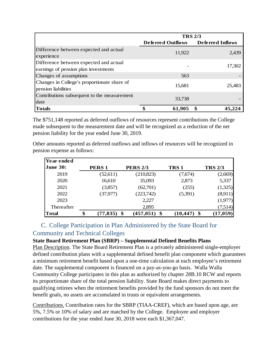|                                                                                | <b>TRS 2/3</b>           |                         |  |
|--------------------------------------------------------------------------------|--------------------------|-------------------------|--|
|                                                                                | <b>Deferred Outflows</b> | <b>Deferred Inflows</b> |  |
| Difference between expected and actual<br>experience                           | 11,922                   | 2,439                   |  |
| Difference between expected and actual<br>earnings of pension plan investments |                          | 17,302                  |  |
| Changes of assumptions                                                         | 563                      |                         |  |
| Changes in College's proportionate share of<br>pension liabilities             | 15,681                   | 25,483                  |  |
| Contributions subsequent to the measurement<br>date                            | 33,738                   |                         |  |
| <b>Totals</b>                                                                  | 61,905                   |                         |  |

The \$751,148 reported as deferred outflows of resources represent contributions the College made subsequent to the measurement date and will be recognized as a reduction of the net pension liability for the year ended June 30, 2019.

Other amounts reported as deferred outflows and inflows of resources will be recognized in pension expense as follows:

| Year ended      |                      |                 |                  |                |
|-----------------|----------------------|-----------------|------------------|----------------|
| <b>June 30:</b> | PERS <sub>1</sub>    | <b>PERS 2/3</b> | TRS <sub>1</sub> | <b>TRS 2/3</b> |
| 2019            | (52,611)             | (210, 823)      | (7,674)          | (2,669)        |
| 2020            | 16,610               | 35,093          | 2,873            | 5,337          |
| 2021            | (3,857)              | (62,701)        | (255)            | (1,325)        |
| 2022            | (37, 977)            | (223,742)       | (5,391)          | (8,911)        |
| 2023            |                      | 2,227           |                  | (1,977)        |
| Thereafter      |                      | 2,895           |                  | (7,514)        |
| <b>Total</b>    | \$<br>$(77, 835)$ \$ | $(457, 051)$ \$ | (10, 447)        | (17, 059)      |

# C. College Participation in Plan Administered by the State Board for Community and Technical Colleges

#### **State Board Retirement Plan (SBRP) – Supplemental Defined Benefits Plans**

Plan Description. The State Board Retirement Plan is a privately administered single-employer defined contribution plans with a supplemental defined benefit plan component which guarantees a minimum retirement benefit based upon a one-time calculation at each employee's retirement date. The supplemental component is financed on a pay-as-you-go basis. Walla Walla Community College participates in this plan as authorized by chapter 28B.10 RCW and reports its proportionate share of the total pension liability. State Board makes direct payments to qualifying retirees when the retirement benefits provided by the fund sponsors do not meet the benefit goals, no assets are accumulated in trusts or equivalent arrangements.

Contributions. Contribution rates for the SBRP (TIAA-CREF), which are based upon age, are 5%, 7.5% or 10% of salary and are matched by the College. Employee and employer contributions for the year ended June 30, 2018 were each \$1,367,047.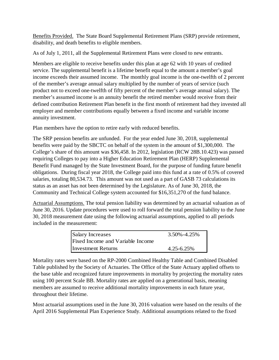Benefits Provided. The State Board Supplemental Retirement Plans (SRP) provide retirement, disability, and death benefits to eligible members.

As of July 1, 2011, all the Supplemental Retirement Plans were closed to new entrants.

Members are eligible to receive benefits under this plan at age 62 with 10 years of credited service. The supplemental benefit is a lifetime benefit equal to the amount a member's goal income exceeds their assumed income. The monthly goal income is the one-twelfth of 2 percent of the member's average annual salary multiplied by the number of years of service (such product not to exceed one-twelfth of fifty percent of the member's average annual salary). The member's assumed income is an annuity benefit the retired member would receive from their defined contribution Retirement Plan benefit in the first month of retirement had they invested all employer and member contributions equally between a fixed income and variable income annuity investment.

Plan members have the option to retire early with reduced benefits.

The SRP pension benefits are unfunded. For the year ended June 30, 2018, supplemental benefits were paid by the SBCTC on behalf of the system in the amount of \$1,300,000. The College's share of this amount was \$36,458. In 2012, legislation (RCW 28B.10.423) was passed requiring Colleges to pay into a Higher Education Retirement Plan (HERP) Supplemental Benefit Fund managed by the State Investment Board, for the purpose of funding future benefit obligations. During fiscal year 2018, the College paid into this fund at a rate of 0.5% of covered salaries, totaling 80,534.73. This amount was not used as a part of GASB 73 calculations its status as an asset has not been determined by the Legislature. As of June 30, 2018, the Community and Technical College system accounted for \$16,351,270 of the fund balance.

Actuarial Assumptions. The total pension liability was determined by an actuarial valuation as of June 30, 2016. Update procedures were used to roll forward the total pension liability to the June 30, 2018 measurement date using the following actuarial assumptions, applied to all periods included in the measurement:

| <b>Salary Increases</b>          | $3.50\% - 4.25\%$ |
|----------------------------------|-------------------|
| Fixed Income and Variable Income |                   |
| <b>Investment Returns</b>        | $4.25 - 6.25\%$   |

Mortality rates were based on the RP-2000 Combined Healthy Table and Combined Disabled Table published by the Society of Actuaries. The Office of the State Actuary applied offsets to the base table and recognized future improvements in mortality by projecting the mortality rates using 100 percent Scale BB. Mortality rates are applied on a generational basis, meaning members are assumed to receive additional mortality improvements in each future year, throughout their lifetime.

Most actuarial assumptions used in the June 30, 2016 valuation were based on the results of the April 2016 Supplemental Plan Experience Study. Additional assumptions related to the fixed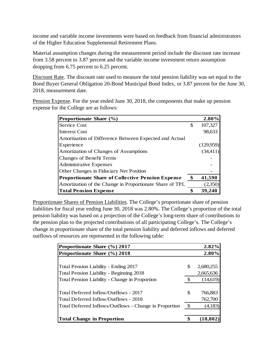income and variable income investments were based on feedback from financial administrators of the Higher Education Supplemental Retirement Plans.

Material assumption changes during the measurement period include the discount rate increase from 3.58 percent to 3.87 percent and the variable income investment return assumption dropping from 6.75 percent to 6.25 percent.

Discount Rate. The discount rate used to measure the total pension liability was set equal to the Bond Buyer General Obligation 20-Bond Municipal Bond Index, or 3.87 percent for the June 30, 2018, measurement date.

Pension Expense. For the year ended June 30, 2018, the components that make up pension expense for the College are as follows:

| Proportionate Share (%)                                  | 2.80%         |
|----------------------------------------------------------|---------------|
| <b>Service Cost</b>                                      | \$<br>107,327 |
| Interest Cost                                            | 98,633        |
| Amortization of Difference Between Expected and Actual   |               |
| Experience                                               | (129,959)     |
| Amortization of Changes of Assumptions                   | (34, 411)     |
| Changes of Benefit Terms                                 |               |
| <b>Administrative Expenses</b>                           |               |
| Other Changes in Fiduciary Net Position                  |               |
| <b>Proportionate Share of Collective Pension Expense</b> | \$<br>41,590  |
| Amortization of the Change in Proportionate Share of TPL | (2,350)       |
| <b>Total Pension Expense</b>                             | 39.24         |

Proportionate Shares of Pension Liabilities. The College's proportionate share of pension liabilities for fiscal year ending June 30, 2018 was 2.80%. The College's proportion of the total pension liability was based on a projection of the College's long-term share of contributions to the pension plan to the projected contributions of all participating College's. The College's change in proportionate share of the total pension liability and deferred inflows and deferred outflows of resources are represented in the following table:

| Proportionate Share (%) 2017                           | 2.82%           |
|--------------------------------------------------------|-----------------|
| Proportionate Share (%) 2018                           | 2.80%           |
|                                                        |                 |
| Total Pension Liability - Ending 2017                  | \$<br>2,680,255 |
| Total Pension Liability - Beginning 2018               | 2,665,636       |
| Total Pension Liability - Change in Proportion         | \$<br>(14,619)  |
|                                                        |                 |
| Total Deferred Inflow/Outflows - 2017                  | \$<br>766,883   |
| Total Deferred Inflow/Outflows - 2018                  | 762,700         |
| Total Deferred Inflows/Outflows - Change in Proportion | \$<br>(4,183)   |
|                                                        |                 |
| <b>Total Change in Proportion</b>                      | \$<br>(18, 802) |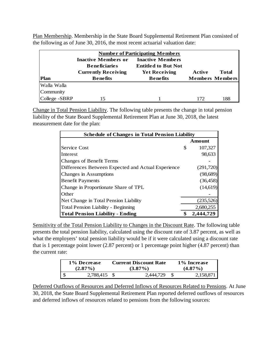Plan Membership. Membership in the State Board Supplemental Retirement Plan consisted of the following as of June 30, 2016, the most recent actuarial valuation date:

|             |                                                                                  | <b>Number of Participating Members</b>                                        |        |                        |
|-------------|----------------------------------------------------------------------------------|-------------------------------------------------------------------------------|--------|------------------------|
|             | <b>Inactive Members or</b><br><b>Beneficiaries</b><br><b>Currently Receiving</b> | <b>Inactive Members</b><br><b>Entitled to But Not</b><br><b>Yet Receiving</b> | Active | Total                  |
|             |                                                                                  |                                                                               |        |                        |
| <b>Plan</b> | <b>Benefits</b>                                                                  | <b>Benefits</b>                                                               |        |                        |
| Walla Walla |                                                                                  |                                                                               |        |                        |
| Community   |                                                                                  |                                                                               |        | <b>Members Members</b> |

Change in Total Pension Liability. The following table presents the change in total pension liability of the State Board Supplemental Retirement Plan at June 30, 2018, the latest measurement date for the plan:

| <b>Schedule of Changes in Total Pension Liability</b> |   |            |  |
|-------------------------------------------------------|---|------------|--|
|                                                       |   | Amount     |  |
| Service Cost                                          | S | 107,327    |  |
| Interest                                              |   | 98,633     |  |
| <b>Changes of Benefit Terms</b>                       |   |            |  |
| Differences Between Expected and Actual Experience    |   | (291,720)  |  |
| Changes in Assumptions                                |   | (98, 689)  |  |
| <b>Benefit Payments</b>                               |   | (36, 458)  |  |
| Change in Proportionate Share of TPL                  |   | (14,619)   |  |
| Other                                                 |   |            |  |
| Net Change in Total Pension Liability                 |   | (235, 526) |  |
| <b>Total Pension Liability - Beginning</b>            |   | 2,680,255  |  |
| <b>Total Pension Liability - Ending</b>               |   | 2,444,729  |  |

Sensitivity of the Total Pension Liability to Changes in the Discount Rate. The following table presents the total pension liability, calculated using the discount rate of 3.87 percent, as well as what the employers' total pension liability would be if it were calculated using a discount rate that is 1 percentage point lower (2.87 percent) or 1 percentage point higher (4.87 percent) than the current rate:

| 1% Decrease | <b>Current Discount Rate</b> |           | 1% Increase |  |  |
|-------------|------------------------------|-----------|-------------|--|--|
| $(2.87\%)$  | $(3.87\%)$                   |           | $(4.87\%)$  |  |  |
| 2,788,415   |                              | 2.444.729 |             |  |  |

Deferred Outflows of Resources and Deferred Inflows of Resources Related to Pensions. At June 30, 2018, the State Board Supplemental Retirement Plan reported deferred outflows of resources and deferred inflows of resources related to pensions from the following sources: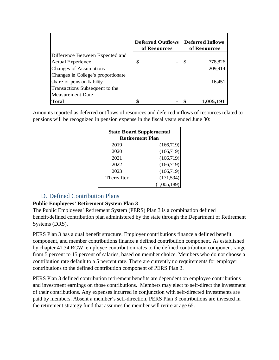|                                    |   | <b>Deferred Outflows</b><br>of Resources |   | Deferred Inflows<br>of Resources |
|------------------------------------|---|------------------------------------------|---|----------------------------------|
| Difference Between Expected and    |   |                                          |   |                                  |
| <b>Actual Experience</b>           | S |                                          | S | 778,826                          |
| <b>Changes of Assumptions</b>      |   |                                          |   | 209,914                          |
| Changes in College's proportionate |   |                                          |   |                                  |
| share of pension liability         |   |                                          |   | 16,451                           |
| Transactions Subsequent to the     |   |                                          |   |                                  |
| <b>Measurement Date</b>            |   |                                          |   |                                  |
| <b>Total</b>                       | ¢ |                                          |   | 1,005,191                        |

Amounts reported as deferred outflows of resources and deferred inflows of resources related to pensions will be recognized in pension expense in the fiscal years ended June 30:

| <b>State Board Supplemental</b><br><b>Retirement Plan</b> |             |  |  |  |
|-----------------------------------------------------------|-------------|--|--|--|
| 2019                                                      | (166,719)   |  |  |  |
| 2020                                                      | (166, 719)  |  |  |  |
| 2021                                                      | (166,719)   |  |  |  |
| 2022                                                      | (166,719)   |  |  |  |
| 2023                                                      | (166, 719)  |  |  |  |
| Thereafter                                                | (171, 594)  |  |  |  |
|                                                           | (1,005,189) |  |  |  |

### D. Defined Contribution Plans

#### **Public Employees' Retirement System Plan 3**

The Public Employees' Retirement System (PERS) Plan 3 is a combination defined benefit/defined contribution plan administered by the state through the Department of Retirement Systems (DRS).

PERS Plan 3 has a dual benefit structure. Employer contributions finance a defined benefit component, and member contributions finance a defined contribution component. As established by chapter 41.34 RCW, employee contribution rates to the defined contribution component range from 5 percent to 15 percent of salaries, based on member choice. Members who do not choose a contribution rate default to a 5 percent rate. There are currently no requirements for employer contributions to the defined contribution component of PERS Plan 3.

PERS Plan 3 defined contribution retirement benefits are dependent on employee contributions and investment earnings on those contributions. Members may elect to self-direct the investment of their contributions. Any expenses incurred in conjunction with self-directed investments are paid by members. Absent a member's self-direction, PERS Plan 3 contributions are invested in the retirement strategy fund that assumes the member will retire at age 65.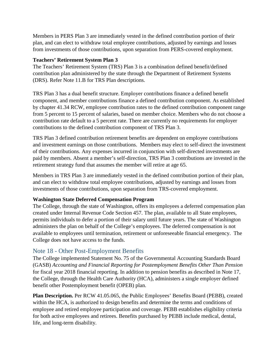Members in PERS Plan 3 are immediately vested in the defined contribution portion of their plan, and can elect to withdraw total employee contributions, adjusted by earnings and losses from investments of those contributions, upon separation from PERS-covered employment.

#### **Teachers' Retirement System Plan 3**

The Teachers' Retirement System (TRS) Plan 3 is a combination defined benefit/defined contribution plan administered by the state through the Department of Retirement Systems (DRS). Refer Note 11.B for TRS Plan descriptions.

TRS Plan 3 has a dual benefit structure. Employer contributions finance a defined benefit component, and member contributions finance a defined contribution component. As established by chapter 41.34 RCW, employee contribution rates to the defined contribution component range from 5 percent to 15 percent of salaries, based on member choice. Members who do not choose a contribution rate default to a 5 percent rate. There are currently no requirements for employer contributions to the defined contribution component of TRS Plan 3.

TRS Plan 3 defined contribution retirement benefits are dependent on employee contributions and investment earnings on those contributions. Members may elect to self-direct the investment of their contributions. Any expenses incurred in conjunction with self-directed investments are paid by members. Absent a member's self-direction, TRS Plan 3 contributions are invested in the retirement strategy fund that assumes the member will retire at age 65.

Members in TRS Plan 3 are immediately vested in the defined contribution portion of their plan, and can elect to withdraw total employee contributions, adjusted by earnings and losses from investments of those contributions, upon separation from TRS-covered employment.

#### **Washington State Deferred Compensation Program**

The College, through the state of Washington, offers its employees a deferred compensation plan created under Internal Revenue Code Section 457. The plan, available to all State employees, permits individuals to defer a portion of their salary until future years. The state of Washington administers the plan on behalf of the College's employees. The deferred compensation is not available to employees until termination, retirement or unforeseeable financial emergency. The College does not have access to the funds.

### Note 18 - Other Post-Employment Benefits

The College implemented Statement No. 75 of the Governmental Accounting Standards Board (GASB) *Accounting and Financial Reporting for Postemployment Benefits Other Than Pension* for fiscal year 2018 financial reporting. In addition to pension benefits as described in Note 17, the College, through the Health Care Authority (HCA), administers a single employer defined benefit other Postemployment benefit (OPEB) plan.

**Plan Description.** Per RCW 41.05.065, the Public Employees' Benefits Board (PEBB), created within the HCA, is authorized to design benefits and determine the terms and conditions of employee and retired employee participation and coverage. PEBB establishes eligibility criteria for both active employees and retirees. Benefits purchased by PEBB include medical, dental, life, and long-term disability.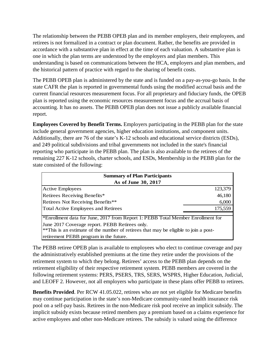The relationship between the PEBB OPEB plan and its member employers, their employees, and retirees is not formalized in a contract or plan document. Rather, the benefits are provided in accordance with a substantive plan in effect at the time of each valuation. A substantive plan is one in which the plan terms are understood by the employers and plan members. This understanding is based on communications between the HCA, employers and plan members, and the historical pattern of practice with regard to the sharing of benefit costs.

The PEBB OPEB plan is administered by the state and is funded on a pay-as-you-go basis. In the state CAFR the plan is reported in governmental funds using the modified accrual basis and the current financial resources measurement focus. For all proprietary and fiduciary funds, the OPEB plan is reported using the economic resources measurement focus and the accrual basis of accounting. It has no assets. The PEBB OPEB plan does not issue a publicly available financial report.

**Employees Covered by Benefit Terms.** Employers participating in the PEBB plan for the state include general government agencies, higher education institutions, and component units. Additionally, there are 76 of the state's K-12 schools and educational service districts (ESDs), and 249 political subdivisions and tribal governments not included in the state's financial reporting who participate in the PEBB plan. The plan is also available to the retirees of the remaining 227 K-12 schools, charter schools, and ESDs, Membership in the PEBB plan for the state consisted of the following:

| <b>Summary of Plan Participants</b>                                                                                                                                                                                                                                 |         |  |  |  |
|---------------------------------------------------------------------------------------------------------------------------------------------------------------------------------------------------------------------------------------------------------------------|---------|--|--|--|
| As of June 30, 2017                                                                                                                                                                                                                                                 |         |  |  |  |
| <b>Active Employees</b>                                                                                                                                                                                                                                             | 123,379 |  |  |  |
| Retirees Receiving Benefits*                                                                                                                                                                                                                                        | 46,180  |  |  |  |
| Retirees Not Receiving Benefits**                                                                                                                                                                                                                                   | 6,000   |  |  |  |
| <b>Total Active Employees and Retirees</b>                                                                                                                                                                                                                          | 175,559 |  |  |  |
| *Enrollment data for June, 2017 from Report 1: PEBB Total Member Enrollment for<br>June 2017 Coverage report. PEBB Retirees only.<br>**This is an estimate of the number of retirees that may be eligible to join a post-<br>retirement PEBB program in the future. |         |  |  |  |

The PEBB retiree OPEB plan is available to employees who elect to continue coverage and pay the administratively established premiums at the time they retire under the provisions of the retirement system to which they belong. Retirees' access to the PEBB plan depends on the retirement eligibility of their respective retirement system. PEBB members are covered in the following retirement systems: PERS, PSERS, TRS, SERS, WSPRS, Higher Education, Judicial, and LEOFF 2. However, not all employers who participate in these plans offer PEBB to retirees.

**Benefits Provided**. Per RCW 41.05.022, retirees who are not yet eligible for Medicare benefits may continue participation in the state's non-Medicare community-rated health insurance risk pool on a self-pay basis. Retirees in the non-Medicare risk pool receive an implicit subsidy. The implicit subsidy exists because retired members pay a premium based on a claims experience for active employees and other non-Medicare retirees. The subsidy is valued using the difference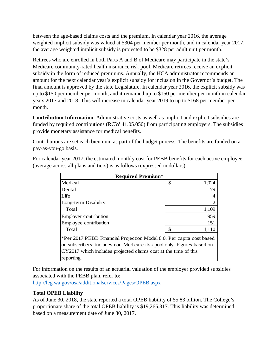between the age-based claims costs and the premium. In calendar year 2016, the average weighted implicit subsidy was valued at \$304 per member per month, and in calendar year 2017, the average weighted implicit subsidy is projected to be \$328 per adult unit per month.

Retirees who are enrolled in both Parts A and B of Medicare may participate in the state's Medicare community-rated health insurance risk pool. Medicare retirees receive an explicit subsidy in the form of reduced premiums. Annually, the HCA administrator recommends an amount for the next calendar year's explicit subsidy for inclusion in the Governor's budget. The final amount is approved by the state Legislature. In calendar year 2016, the explicit subsidy was up to \$150 per member per month, and it remained up to \$150 per member per month in calendar years 2017 and 2018. This will increase in calendar year 2019 to up to \$168 per member per month.

**Contribution Information**. Administrative costs as well as implicit and explicit subsidies are funded by required contributions (RCW 41.05.050) from participating employers. The subsidies provide monetary assistance for medical benefits.

Contributions are set each biennium as part of the budget process. The benefits are funded on a pay-as-you-go basis.

For calendar year 2017, the estimated monthly cost for PEBB benefits for each active employee (average across all plans and tiers) is as follows (expressed in dollars):

| <b>Required Premium*</b>                                                                                                                                                                                                        |    |       |  |
|---------------------------------------------------------------------------------------------------------------------------------------------------------------------------------------------------------------------------------|----|-------|--|
| Medical                                                                                                                                                                                                                         | \$ | 1,024 |  |
| Dental                                                                                                                                                                                                                          |    | 79    |  |
| Life                                                                                                                                                                                                                            |    |       |  |
| Long-term Disability                                                                                                                                                                                                            |    |       |  |
| Total                                                                                                                                                                                                                           |    | 1,109 |  |
| <b>Employer contribution</b>                                                                                                                                                                                                    |    | 959   |  |
| Employee contribution                                                                                                                                                                                                           |    | 151   |  |
| Total                                                                                                                                                                                                                           | ≮  | 1,110 |  |
| *Per 2017 PEBB Financial Projection Model 8.0. Per capita cost based<br>on subscribers; includes non-Medicare risk pool only. Figures based on<br>CY2017 which includes projected claims cost at the time of this<br>reporting. |    |       |  |

For information on the results of an actuarial valuation of the employer provided subsidies associated with the PEBB plan, refer to:

<http://leg.wa.gov/osa/additionalservices/Pages/OPEB.aspx>

#### **Total OPEB Liability**

As of June 30, 2018, the state reported a total OPEB liability of \$5.83 billion. The College's proportionate share of the total OPEB liability is \$19,265,317. This liability was determined based on a measurement date of June 30, 2017.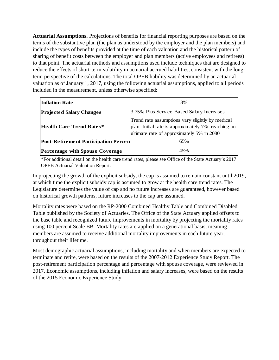**Actuarial Assumptions.** Projections of benefits for financial reporting purposes are based on the terms of the substantive plan (the plan as understood by the employer and the plan members) and include the types of benefits provided at the time of each valuation and the historical pattern of sharing of benefit costs between the employer and plan members (active employees and retirees) to that point. The actuarial methods and assumptions used include techniques that are designed to reduce the effects of short-term volatility in actuarial accrued liabilities, consistent with the longterm perspective of the calculations. The total OPEB liability was determined by an actuarial valuation as of January 1, 2017, using the following actuarial assumptions, applied to all periods included in the measurement, unless otherwise specified:

| <b>Inflation Rate</b>                       | 3%                                                                                                                                                  |  |  |
|---------------------------------------------|-----------------------------------------------------------------------------------------------------------------------------------------------------|--|--|
| <b>Projected Salary Changes</b>             | 3.75% Plus Service-Based Salary Increases                                                                                                           |  |  |
| <b>Health Care Trend Rates*</b>             | Trend rate assumptions vary slightly by medical<br>plan. Initial rate is approximately 7%, reaching an<br>ultimate rate of approximately 5% in 2080 |  |  |
| <b>Post-Retirement Participation Percen</b> | 65%                                                                                                                                                 |  |  |
| <b>Percentage with Spouse Coverage</b>      | 45%                                                                                                                                                 |  |  |

\*For additional detail on the health care trend rates, please see Office of the State Actuary's 2017 OPEB Actuarial Valuation Report.

In projecting the growth of the explicit subsidy, the cap is assumed to remain constant until 2019, at which time the explicit subsidy cap is assumed to grow at the health care trend rates. The Legislature determines the value of cap and no future increases are guaranteed, however based on historical growth patterns, future increases to the cap are assumed.

Mortality rates were based on the RP-2000 Combined Healthy Table and Combined Disabled Table published by the Society of Actuaries. The Office of the State Actuary applied offsets to the base table and recognized future improvements in mortality by projecting the mortality rates using 100 percent Scale BB. Mortality rates are applied on a generational basis, meaning members are assumed to receive additional mortality improvements in each future year, throughout their lifetime.

Most demographic actuarial assumptions, including mortality and when members are expected to terminate and retire, were based on the results of the 2007-2012 Experience Study Report. The post-retirement participation percentage and percentage with spouse coverage, were reviewed in 2017. Economic assumptions, including inflation and salary increases, were based on the results of the 2015 Economic Experience Study.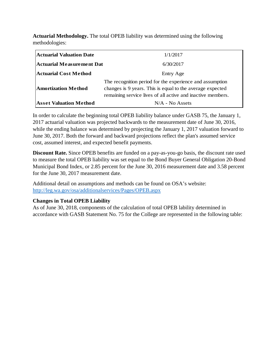**Actuarial Methodology.** The total OPEB liability was determined using the following methodologies:

| <b>Actuarial Valuation Date</b>  | 1/1/2017                                                                                                                                                                             |
|----------------------------------|--------------------------------------------------------------------------------------------------------------------------------------------------------------------------------------|
| <b>Actuarial Measurement Dat</b> | 6/30/2017                                                                                                                                                                            |
| <b>Actuarial Cost Method</b>     | Entry Age                                                                                                                                                                            |
| <b>Amortization Method</b>       | The recognition period for the experience and assumption<br>changes is 9 years. This is equal to the average expected<br>remaining service lives of all active and inactive members. |
| <b>Asset Valuation Method</b>    | $N/A$ - No Assets                                                                                                                                                                    |

In order to calculate the beginning total OPEB liability balance under GASB 75, the January 1, 2017 actuarial valuation was projected backwards to the measurement date of June 30, 2016, while the ending balance was determined by projecting the January 1, 2017 valuation forward to June 30, 2017. Both the forward and backward projections reflect the plan's assumed service cost, assumed interest, and expected benefit payments.

**Discount Rate.** Since OPEB benefits are funded on a pay-as-you-go basis, the discount rate used to measure the total OPEB liability was set equal to the Bond Buyer General Obligation 20-Bond Municipal Bond Index, or 2.85 percent for the June 30, 2016 measurement date and 3.58 percent for the June 30, 2017 measurement date.

Additional detail on assumptions and methods can be found on OSA's website: <http://leg.wa.gov/osa/additionalservices/Pages/OPEB.aspx>

#### **Changes in Total OPEB Liability**

As of June 30, 2018, components of the calculation of total OPEB lability determined in accordance with GASB Statement No. 75 for the College are represented in the following table: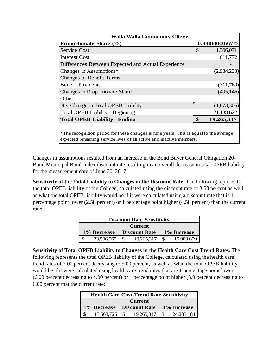| <b>Walla Walla Community Cllege</b>                                                                                                                           |    |               |  |  |  |  |  |  |
|---------------------------------------------------------------------------------------------------------------------------------------------------------------|----|---------------|--|--|--|--|--|--|
| <b>Proportionate Share (%)</b>                                                                                                                                |    | 0.3306883667% |  |  |  |  |  |  |
| <b>Service Cost</b>                                                                                                                                           | \$ | 1,306,071     |  |  |  |  |  |  |
| Interest Cost                                                                                                                                                 |    | 611,772       |  |  |  |  |  |  |
| Differences Between Expected and Actual Experience                                                                                                            |    |               |  |  |  |  |  |  |
| Changes in Assumptions*                                                                                                                                       |    | (2,984,233)   |  |  |  |  |  |  |
| <b>Changes of Benefit Terms</b>                                                                                                                               |    |               |  |  |  |  |  |  |
| <b>Benefit Payments</b>                                                                                                                                       |    | (311,769)     |  |  |  |  |  |  |
| Changes in Proportionate Share                                                                                                                                |    | (495, 146)    |  |  |  |  |  |  |
| Other                                                                                                                                                         |    |               |  |  |  |  |  |  |
| Net Change in Total OPEB Liability                                                                                                                            |    | (1,873,305)   |  |  |  |  |  |  |
| <b>Total OPEB Liability - Beginning</b>                                                                                                                       |    | 21,138,622    |  |  |  |  |  |  |
| <b>Total OPEB Liability - Ending</b>                                                                                                                          | \$ | 19,265,317    |  |  |  |  |  |  |
|                                                                                                                                                               |    |               |  |  |  |  |  |  |
| *The recognition period for these changes is nine years. This is equal to the average<br>expected remaining service lives of all active and inactive members. |    |               |  |  |  |  |  |  |

Changes in assumptions resulted from an increase in the Bond Buyer General Obligation 20- Bond Municipal Bond Index discount rate resulting in an overall decrease in total OPEB liability for the measurement date of June 30, 2017.

**Sensitivity of the Total Liability to Changes in the Discount Rate.** The following represents the total OPEB liability of the College, calculated using the discount rate of 3.58 percent as well as what the total OPEB liability would be if it were calculated using a discount rate that is 1 percentage point lower (2.58 percent) or 1 percentage point higher (4.58 percent) than the current rate:

| <b>Discount Rate Sensitivity</b>                   |            |     |            |  |            |  |  |  |
|----------------------------------------------------|------------|-----|------------|--|------------|--|--|--|
| <b>Current</b>                                     |            |     |            |  |            |  |  |  |
| 1% Increase<br><b>Discount Rate</b><br>1% Decrease |            |     |            |  |            |  |  |  |
|                                                    | 23,506,065 | -86 | 19,265,317 |  | 15,983,659 |  |  |  |

**Sensitivity of Total OPEB Liability to Changes in the Health Care Cost Trend Rates.** The following represents the total OPEB liability of the College, calculated using the health care trend rates of 7.00 percent decreasing to 5.00 percent, as well as what the total OPEB liability would be if it were calculated using health care trend rates that are 1 percentage point lower (6.00 percent decreasing to 4.00 percent) or 1 percentage point higher (8.0 percent decreasing to 6.00 percent that the current rate:

| <b>Health Care Cost Trend Rate Sensitivity</b> |                |  |                          |                                       |  |  |  |  |  |
|------------------------------------------------|----------------|--|--------------------------|---------------------------------------|--|--|--|--|--|
|                                                | <b>Current</b> |  |                          |                                       |  |  |  |  |  |
|                                                |                |  |                          | 1% Decrease Discount Rate 1% Increase |  |  |  |  |  |
|                                                | 15,563,725 \$  |  | 19,265,317 \$ 24,233,184 |                                       |  |  |  |  |  |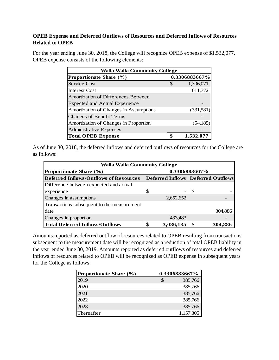#### **OPEB Expense and Deferred Outflows of Resources and Deferred Inflows of Resources Related to OPEB**

For the year ending June 30, 2018, the College will recognize OPEB expense of \$1,532,077. OPEB expense consists of the following elements:

| <b>Walla Walla Community College</b>     |    |            |  |  |  |  |  |
|------------------------------------------|----|------------|--|--|--|--|--|
| 0.3306883667%<br>Proportionate Share (%) |    |            |  |  |  |  |  |
| Service Cost                             | \$ | 1,306,071  |  |  |  |  |  |
| <b>Interest Cost</b>                     |    | 611,772    |  |  |  |  |  |
| Amortization of Differences Between      |    |            |  |  |  |  |  |
| <b>Expected and Actual Experience</b>    |    |            |  |  |  |  |  |
| Amortization of Changes in Assumptions   |    | (331, 581) |  |  |  |  |  |
| <b>Changes of Benefit Terms</b>          |    |            |  |  |  |  |  |
| Amortization of Changes in Proportion    |    | (54, 185)  |  |  |  |  |  |
| <b>Administrative Expenses</b>           |    |            |  |  |  |  |  |
| <b>Total OPEB Expense</b>                |    | 1,532,07   |  |  |  |  |  |

As of June 30, 2018, the deferred inflows and deferred outflows of resources for the College are as follows:

| <b>Walla Walla Community College</b>       |               |           |    |                                    |  |  |  |  |  |
|--------------------------------------------|---------------|-----------|----|------------------------------------|--|--|--|--|--|
| Proportionate Share (%)                    | 0.3306883667% |           |    |                                    |  |  |  |  |  |
| Deferred Inflows/Outflows of Resources     |               |           |    | Deferred Inflows Deferred Outflows |  |  |  |  |  |
| Difference between expected and actual     |               |           |    |                                    |  |  |  |  |  |
| experience                                 | S             |           | -S |                                    |  |  |  |  |  |
| Changes in assumptions                     |               | 2,652,652 |    |                                    |  |  |  |  |  |
| Transactions subsequent to the measurement |               |           |    |                                    |  |  |  |  |  |
| date                                       |               |           |    | 304,886                            |  |  |  |  |  |
| Changes in proportion                      |               | 433,483   |    |                                    |  |  |  |  |  |
| <b>Total Deferred Inflows/Outflows</b>     | \$            | 3,086,135 |    | 304,886                            |  |  |  |  |  |

Amounts reported as deferred outflow of resources related to OPEB resulting from transactions subsequent to the measurement date will be recognized as a reduction of total OPEB liability in the year ended June 30, 2019. Amounts reported as deferred outflows of resources and deferred inflows of resources related to OPEB will be recognized as OPEB expense in subsequent years for the College as follows:

| Proportionate Share (%) | 0.3306883667% |
|-------------------------|---------------|
| 2019                    | 385,766       |
| 2020                    | 385,766       |
| 2021                    | 385,766       |
| 2022                    | 385,766       |
| 2023                    | 385,766       |
| Thereafter              | 1,157,305     |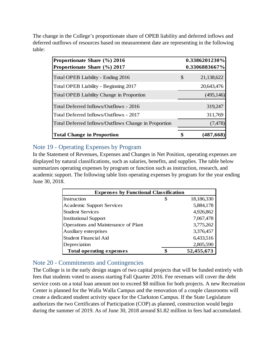The change in the College's proportionate share of OPEB liability and deferred inflows and deferred outflows of resources based on measurement date are representing in the following table:

| Proportionate Share (%) 2016                         | 0.3386201230%    |
|------------------------------------------------------|------------------|
| Proportionate Share (%) 2017                         | 0.3306883667%    |
| Total OPEB Liability - Ending 2016                   | \$<br>21,138,622 |
| Total OPEB Liability - Beginning 2017                | 20,643,476       |
| Total OPEB Liability Change in Proportion            | (495, 146)       |
| Total Deferred Inflows/Outflows - 2016               | 319,247          |
| Total Deferred Inflows/Outflows - 2017               | 311,769          |
| Total Deferred Inflows/Outflows Change in Proportion | (7, 478)         |
| <b>Total Change in Proportion</b>                    | $(487,\!668)$    |

#### Note 19 - Operating Expenses by Program

In the Statement of Revenues, Expenses and Changes in Net Position, operating expenses are displayed by natural classifications, such as salaries, benefits, and supplies. The table below summarizes operating expenses by program or function such as instruction, research, and academic support. The following table lists operating expenses by program for the year ending June 30, 2018.

| <b>Expenses by Functional Classification</b> |   |            |  |  |  |  |  |  |
|----------------------------------------------|---|------------|--|--|--|--|--|--|
| Instruction                                  | S | 18,186,330 |  |  |  |  |  |  |
| <b>Academic Support Services</b>             |   | 5,884,178  |  |  |  |  |  |  |
| <b>Student Services</b>                      |   | 4,926,862  |  |  |  |  |  |  |
| <b>Institutional Support</b>                 |   | 7,067,478  |  |  |  |  |  |  |
| Operations and Maintenance of Plant          |   | 3,775,262  |  |  |  |  |  |  |
| Auxiliary enterprises                        |   | 3,376,457  |  |  |  |  |  |  |
| <b>Student Financial Aid</b>                 |   | 6,433,516  |  |  |  |  |  |  |
| Depreciation                                 |   | 2,805,590  |  |  |  |  |  |  |
| <b>Total operating expenses</b>              |   | 52,455,673 |  |  |  |  |  |  |

### Note 20 - Commitments and Contingencies

The College is in the early design stages of two capital projects that will be funded entirely with fees that students voted to assess starting Fall Quarter 2016. Fee revenues will cover the debt service costs on a total loan amount not to exceed \$8 million for both projects. A new Recreation Center is planned for the Walla Walla Campus and the renovation of a couple classrooms will create a dedicated student activity space for the Clarkston Campus. If the State Legislature authorizes the two Certificates of Participation (COP) as planned, construction would begin during the summer of 2019. As of June 30, 2018 around \$1.82 million in fees had accumulated.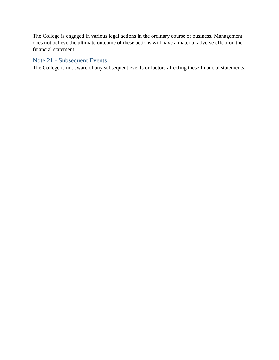The College is engaged in various legal actions in the ordinary course of business. Management does not believe the ultimate outcome of these actions will have a material adverse effect on the financial statement.

#### Note 21 - Subsequent Events

The College is not aware of any subsequent events or factors affecting these financial statements.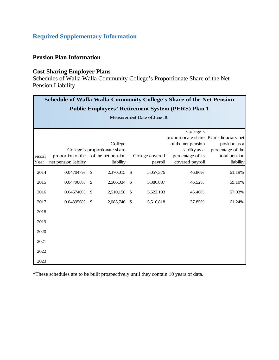# <span id="page-53-0"></span>**Required Supplementary Information**

#### **Pension Plan Information**

# **Cost Sharing Employer Plans**

Schedules of Walla Walla Community College's Proportionate Share of the Net Pension Liability

|        | <b>Schedule of Walla Walla Community College's Share of the Net Pension</b> |              |                               |               |                 |                    |                                          |  |  |  |  |  |
|--------|-----------------------------------------------------------------------------|--------------|-------------------------------|---------------|-----------------|--------------------|------------------------------------------|--|--|--|--|--|
|        | <b>Public Employees' Retirement System (PERS) Plan 1</b>                    |              |                               |               |                 |                    |                                          |  |  |  |  |  |
|        | Measurement Date of June 30                                                 |              |                               |               |                 |                    |                                          |  |  |  |  |  |
|        |                                                                             |              |                               |               |                 |                    |                                          |  |  |  |  |  |
|        |                                                                             |              |                               |               |                 | College's          |                                          |  |  |  |  |  |
|        |                                                                             |              |                               |               |                 |                    | proportionate share Plan's fiduciary net |  |  |  |  |  |
|        |                                                                             |              | College                       |               |                 | of the net pension | position as a                            |  |  |  |  |  |
|        |                                                                             |              | College's proportionate share |               |                 | liability as a     | percentage of the                        |  |  |  |  |  |
| Fiscal | proportion of the                                                           |              | of the net pension            |               | College covered | percentage of its  | total pension                            |  |  |  |  |  |
| Year   | net pension liability                                                       |              | liability                     |               | payroll         | covered payroll    | liability                                |  |  |  |  |  |
| 2014   | 0.047047%                                                                   | $\mathbb{S}$ | 2,370,015 \$                  |               | 5,057,376       | 46.86%             | 61.19%                                   |  |  |  |  |  |
| 2015   | 0.047908%                                                                   | \$           | 2,506,034                     | $\mathcal{S}$ | 5,386,887       | 46.52%             | 59.10%                                   |  |  |  |  |  |
| 2016   | 0.046740%                                                                   | \$           | 2,510,158                     | - \$          | 5,522,193       | 45.46%             | 57.03%                                   |  |  |  |  |  |
| 2017   | 0.043956%                                                                   | $\mathbb{S}$ | 2,085,746 \$                  |               | 5,510,818       | 37.85%             | 61.24%                                   |  |  |  |  |  |
| 2018   |                                                                             |              |                               |               |                 |                    |                                          |  |  |  |  |  |
| 2019   |                                                                             |              |                               |               |                 |                    |                                          |  |  |  |  |  |
| 2020   |                                                                             |              |                               |               |                 |                    |                                          |  |  |  |  |  |
| 2021   |                                                                             |              |                               |               |                 |                    |                                          |  |  |  |  |  |
| 2022   |                                                                             |              |                               |               |                 |                    |                                          |  |  |  |  |  |
| 2023   |                                                                             |              |                               |               |                 |                    |                                          |  |  |  |  |  |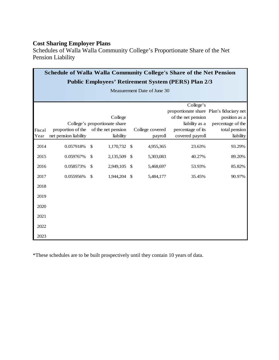Schedules of Walla Walla Community College's Proportionate Share of the Net Pension Liability

|        | Schedule of Walla Walla Community College's Share of the Net Pension |               |                               |              |                 |                                                                |                   |  |  |  |  |  |
|--------|----------------------------------------------------------------------|---------------|-------------------------------|--------------|-----------------|----------------------------------------------------------------|-------------------|--|--|--|--|--|
|        | <b>Public Employees' Retirement System (PERS) Plan 2/3</b>           |               |                               |              |                 |                                                                |                   |  |  |  |  |  |
|        | Measurement Date of June 30                                          |               |                               |              |                 |                                                                |                   |  |  |  |  |  |
|        |                                                                      |               |                               |              |                 |                                                                |                   |  |  |  |  |  |
|        |                                                                      |               |                               |              |                 | College's                                                      |                   |  |  |  |  |  |
|        |                                                                      |               | College                       |              |                 | proportionate share Plan's fiduciary net<br>of the net pension | position as a     |  |  |  |  |  |
|        |                                                                      |               | College's proportionate share |              |                 | liability as a                                                 | percentage of the |  |  |  |  |  |
| Fiscal | proportion of the                                                    |               | of the net pension            |              | College covered | percentage of its                                              | total pension     |  |  |  |  |  |
| Year   | net pension liability                                                |               | liability                     |              | payroll         | covered payroll                                                | liability         |  |  |  |  |  |
| 2014   | 0.057918%                                                            | \$            | 1,170,732                     | -\$          | 4,955,365       | 23.63%                                                         | 93.29%            |  |  |  |  |  |
| 2015   | 0.059767%                                                            | $\mathcal{S}$ | 2,135,509                     | \$           | 5,303,083       | 40.27%                                                         | 89.20%            |  |  |  |  |  |
| 2016   | 0.058573%                                                            | \$            | 2,949,105                     | $\mathbb{S}$ | 5,468,697       | 53.93%                                                         | 85.82%            |  |  |  |  |  |
| 2017   | 0.055956%                                                            | \$            | 1,944,204                     | \$           | 5,484,177       | 35.45%                                                         | 90.97%            |  |  |  |  |  |
| 2018   |                                                                      |               |                               |              |                 |                                                                |                   |  |  |  |  |  |
| 2019   |                                                                      |               |                               |              |                 |                                                                |                   |  |  |  |  |  |
| 2020   |                                                                      |               |                               |              |                 |                                                                |                   |  |  |  |  |  |
| 2021   |                                                                      |               |                               |              |                 |                                                                |                   |  |  |  |  |  |
| 2022   |                                                                      |               |                               |              |                 |                                                                |                   |  |  |  |  |  |
| 2023   |                                                                      |               |                               |              |                 |                                                                |                   |  |  |  |  |  |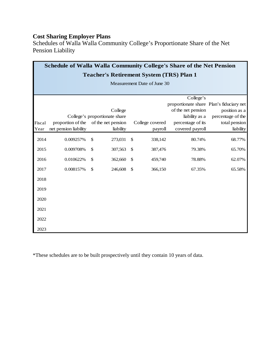Schedules of Walla Walla Community College's Proportionate Share of the Net Pension Liability

| <b>Schedule of Walla Walla Community College's Share of the Net Pension</b> |                                                 |    |                               |    |                             |                                          |                   |  |  |  |  |
|-----------------------------------------------------------------------------|-------------------------------------------------|----|-------------------------------|----|-----------------------------|------------------------------------------|-------------------|--|--|--|--|
|                                                                             | <b>Teacher's Retirement System (TRS) Plan 1</b> |    |                               |    |                             |                                          |                   |  |  |  |  |
|                                                                             |                                                 |    |                               |    | Measurement Date of June 30 |                                          |                   |  |  |  |  |
|                                                                             |                                                 |    |                               |    |                             |                                          |                   |  |  |  |  |
|                                                                             |                                                 |    |                               |    |                             | College's                                |                   |  |  |  |  |
|                                                                             |                                                 |    |                               |    |                             | proportionate share Plan's fiduciary net |                   |  |  |  |  |
|                                                                             |                                                 |    | College                       |    |                             | of the net pension                       | position as a     |  |  |  |  |
|                                                                             |                                                 |    | College's proportionate share |    |                             | liability as a                           | percentage of the |  |  |  |  |
| Fiscal                                                                      | proportion of the                               |    | of the net pension            |    | College covered             | percentage of its                        | total pension     |  |  |  |  |
| Year                                                                        | net pension liability                           |    | liability                     |    | payroll                     | covered payroll                          | liability         |  |  |  |  |
| 2014                                                                        | 0.009257%                                       | \$ | 273,031                       | \$ | 338,142                     | 80.74%                                   | 68.77%            |  |  |  |  |
| 2015                                                                        | 0.009708%                                       | \$ | 307,563                       | \$ | 387,476                     | 79.38%                                   | 65.70%            |  |  |  |  |
| 2016                                                                        | 0.010622%                                       | \$ | 362,660                       | \$ | 459,740                     | 78.88%                                   | 62.07%            |  |  |  |  |
| 2017                                                                        | 0.008157%                                       | \$ | 246,608                       | \$ | 366,150                     | 67.35%                                   | 65.58%            |  |  |  |  |
| 2018                                                                        |                                                 |    |                               |    |                             |                                          |                   |  |  |  |  |
| 2019                                                                        |                                                 |    |                               |    |                             |                                          |                   |  |  |  |  |
| 2020                                                                        |                                                 |    |                               |    |                             |                                          |                   |  |  |  |  |
| 2021                                                                        |                                                 |    |                               |    |                             |                                          |                   |  |  |  |  |
| 2022                                                                        |                                                 |    |                               |    |                             |                                          |                   |  |  |  |  |
| 2023                                                                        |                                                 |    |                               |    |                             |                                          |                   |  |  |  |  |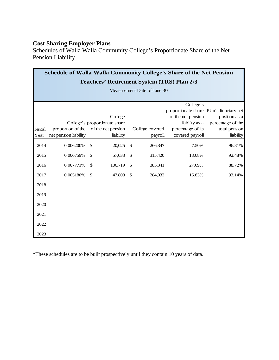Schedules of Walla Walla Community College's Proportionate Share of the Net Pension Liability

|        | <b>Schedule of Walla Walla Community College's Share of the Net Pension</b> |              |                               |               |                             |                    |                                                           |  |  |  |  |
|--------|-----------------------------------------------------------------------------|--------------|-------------------------------|---------------|-----------------------------|--------------------|-----------------------------------------------------------|--|--|--|--|
|        | <b>Teachers' Retirement System (TRS) Plan 2/3</b>                           |              |                               |               |                             |                    |                                                           |  |  |  |  |
|        |                                                                             |              |                               |               | Measurement Date of June 30 |                    |                                                           |  |  |  |  |
|        |                                                                             |              |                               |               |                             |                    |                                                           |  |  |  |  |
|        |                                                                             |              |                               |               |                             | College's          |                                                           |  |  |  |  |
|        |                                                                             |              | College                       |               |                             | of the net pension | proportionate share Plan's fiduciary net<br>position as a |  |  |  |  |
|        |                                                                             |              | College's proportionate share |               |                             | liability as a     | percentage of the                                         |  |  |  |  |
| Fiscal | proportion of the                                                           |              | of the net pension            |               | College covered             | percentage of its  | total pension                                             |  |  |  |  |
| Year   | net pension liability                                                       |              | liability                     |               | payroll                     | covered payroll    | liability                                                 |  |  |  |  |
| 2014   | 0.006200%                                                                   | \$           | 20,025                        | \$            | 266,847                     | 7.50%              | 96.81%                                                    |  |  |  |  |
| 2015   | 0.006759%                                                                   | \$           | 57,033                        | $\mathcal{S}$ | 315,420                     | 18.08%             | 92.48%                                                    |  |  |  |  |
| 2016   | 0.007771%                                                                   | \$           | 106,719                       | \$            | 385,341                     | 27.69%             | 88.72%                                                    |  |  |  |  |
| 2017   | 0.005180%                                                                   | $\mathbb{S}$ | 47,808                        | $\mathcal{S}$ | 284,032                     | 16.83%             | 93.14%                                                    |  |  |  |  |
| 2018   |                                                                             |              |                               |               |                             |                    |                                                           |  |  |  |  |
| 2019   |                                                                             |              |                               |               |                             |                    |                                                           |  |  |  |  |
| 2020   |                                                                             |              |                               |               |                             |                    |                                                           |  |  |  |  |
| 2021   |                                                                             |              |                               |               |                             |                    |                                                           |  |  |  |  |
| 2022   |                                                                             |              |                               |               |                             |                    |                                                           |  |  |  |  |
| 2023   |                                                                             |              |                               |               |                             |                    |                                                           |  |  |  |  |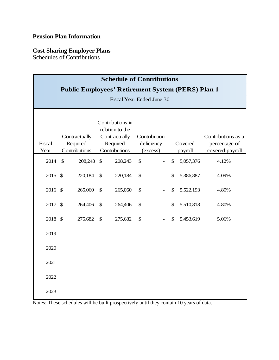# **Pension Plan Information**

#### **Cost Sharing Employer Plans**

Schedules of Contributions

| <b>Schedule of Contributions</b><br><b>Public Employees' Retirement System (PERS) Plan 1</b><br><b>Fiscal Year Ended June 30</b> |  |                                            |                                                                                   |         |                                        |  |                           |                    |                                                        |  |
|----------------------------------------------------------------------------------------------------------------------------------|--|--------------------------------------------|-----------------------------------------------------------------------------------|---------|----------------------------------------|--|---------------------------|--------------------|--------------------------------------------------------|--|
| Fiscal<br>Year                                                                                                                   |  | Contractually<br>Required<br>Contributions | Contributions in<br>relation to the<br>Contractually<br>Required<br>Contributions |         | Contribution<br>deficiency<br>(excess) |  |                           | Covered<br>payroll | Contributions as a<br>percentage of<br>covered payroll |  |
| 2014 \$                                                                                                                          |  | 208,243                                    | $\mathcal{S}$                                                                     | 208,243 | \$                                     |  | $\mathbb{S}$              | 5,057,376          | 4.12%                                                  |  |
| 2015 \$                                                                                                                          |  | 220,184                                    | $\mathcal{S}$                                                                     | 220,184 | \$                                     |  | \$                        | 5,386,887          | 4.09%                                                  |  |
| 2016 \$                                                                                                                          |  | 265,060                                    | \$                                                                                | 265,060 | \$                                     |  | \$                        | 5,522,193          | 4.80%                                                  |  |
| 2017 \$                                                                                                                          |  | 264,406                                    | \$                                                                                | 264,406 | \$                                     |  | \$                        | 5,510,818          | 4.80%                                                  |  |
| 2018 \$                                                                                                                          |  | 275,682                                    | $\mathcal{S}$                                                                     | 275,682 | \$                                     |  | $\boldsymbol{\mathsf{S}}$ | 5,453,619          | 5.06%                                                  |  |
| 2019                                                                                                                             |  |                                            |                                                                                   |         |                                        |  |                           |                    |                                                        |  |
| 2020                                                                                                                             |  |                                            |                                                                                   |         |                                        |  |                           |                    |                                                        |  |
| 2021                                                                                                                             |  |                                            |                                                                                   |         |                                        |  |                           |                    |                                                        |  |
| 2022                                                                                                                             |  |                                            |                                                                                   |         |                                        |  |                           |                    |                                                        |  |
| 2023                                                                                                                             |  |                                            |                                                                                   |         |                                        |  |                           |                    |                                                        |  |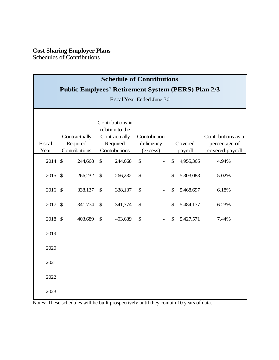Schedules of Contributions

| <b>Schedule of Contributions</b><br><b>Public Emplyees' Retirement System (PERS) Plan 2/3</b><br>Fiscal Year Ended June 30 |  |                                            |                                                                                   |         |                                        |  |              |                    |                                                        |  |
|----------------------------------------------------------------------------------------------------------------------------|--|--------------------------------------------|-----------------------------------------------------------------------------------|---------|----------------------------------------|--|--------------|--------------------|--------------------------------------------------------|--|
| Fiscal<br>Year                                                                                                             |  | Contractually<br>Required<br>Contributions | Contributions in<br>relation to the<br>Contractually<br>Required<br>Contributions |         | Contribution<br>deficiency<br>(excess) |  |              | Covered<br>payroll | Contributions as a<br>percentage of<br>covered payroll |  |
| 2014 \$                                                                                                                    |  | 244,668                                    | $\mathbb{S}$                                                                      | 244,668 | $\mathcal{S}$                          |  | \$           | 4,955,365          | 4.94%                                                  |  |
| 2015 \$                                                                                                                    |  | 266,232                                    | \$                                                                                | 266,232 | \$                                     |  | \$           | 5,303,083          | 5.02%                                                  |  |
| 2016 \$                                                                                                                    |  | 338,137                                    | $\mathcal{S}$                                                                     | 338,137 | \$                                     |  | \$           | 5,468,697          | 6.18%                                                  |  |
| 2017 \$                                                                                                                    |  | 341,774                                    | $\mathcal{S}$                                                                     | 341,774 | \$                                     |  | \$           | 5,484,177          | 6.23%                                                  |  |
| 2018 \$                                                                                                                    |  | 403,689                                    | $\mathbb{S}$                                                                      | 403,689 | $\mathcal{S}$                          |  | $\mathbb{S}$ | 5,427,571          | 7.44%                                                  |  |
| 2019                                                                                                                       |  |                                            |                                                                                   |         |                                        |  |              |                    |                                                        |  |
| 2020                                                                                                                       |  |                                            |                                                                                   |         |                                        |  |              |                    |                                                        |  |
| 2021                                                                                                                       |  |                                            |                                                                                   |         |                                        |  |              |                    |                                                        |  |
| 2022                                                                                                                       |  |                                            |                                                                                   |         |                                        |  |              |                    |                                                        |  |
| 2023                                                                                                                       |  |                                            |                                                                                   |         |                                        |  |              |                    |                                                        |  |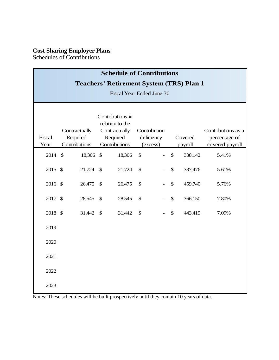Schedules of Contributions

|                           | <b>Schedule of Contributions</b>                |              |                                                                  |                            |  |                           |         |                                     |  |  |  |
|---------------------------|-------------------------------------------------|--------------|------------------------------------------------------------------|----------------------------|--|---------------------------|---------|-------------------------------------|--|--|--|
|                           | <b>Teachers' Retirement System (TRS) Plan 1</b> |              |                                                                  |                            |  |                           |         |                                     |  |  |  |
| Fiscal Year Ended June 30 |                                                 |              |                                                                  |                            |  |                           |         |                                     |  |  |  |
| Fiscal                    | Contractually<br>Required                       |              | Contributions in<br>relation to the<br>Contractually<br>Required | Contribution<br>deficiency |  |                           | Covered | Contributions as a<br>percentage of |  |  |  |
| Year                      | Contributions                                   |              | Contributions                                                    | (excess)                   |  |                           | payroll | covered payroll                     |  |  |  |
| 2014 \$                   |                                                 | 18,306 \$    | 18,306                                                           | \$                         |  | \$                        | 338,142 | 5.41%                               |  |  |  |
| 2015 \$                   |                                                 | 21,724       | $\mathcal{S}$<br>21,724                                          | \$                         |  | $\boldsymbol{\mathsf{S}}$ | 387,476 | 5.61%                               |  |  |  |
| 2016 \$                   |                                                 | 26,475       | $\mathcal{S}$<br>26,475                                          | \$                         |  | \$                        | 459,740 | 5.76%                               |  |  |  |
| 2017 \$                   |                                                 | 28,545       | $\mathcal{S}$<br>28,545                                          | \$                         |  | \$                        | 366,150 | 7.80%                               |  |  |  |
| 2018 \$                   |                                                 | 31,442<br>\$ | 31,442                                                           | \$                         |  | $\mathbb{S}$              | 443,419 | 7.09%                               |  |  |  |
| 2019                      |                                                 |              |                                                                  |                            |  |                           |         |                                     |  |  |  |
| 2020                      |                                                 |              |                                                                  |                            |  |                           |         |                                     |  |  |  |
| 2021                      |                                                 |              |                                                                  |                            |  |                           |         |                                     |  |  |  |
| 2022                      |                                                 |              |                                                                  |                            |  |                           |         |                                     |  |  |  |
| 2023                      |                                                 |              |                                                                  |                            |  |                           |         |                                     |  |  |  |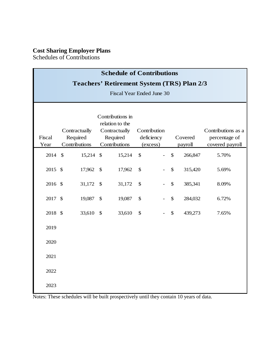Schedules of Contributions

|                                                   | <b>Schedule of Contributions</b>           |           |               |                                                                       |                                        |  |                           |         |                                                        |  |  |
|---------------------------------------------------|--------------------------------------------|-----------|---------------|-----------------------------------------------------------------------|----------------------------------------|--|---------------------------|---------|--------------------------------------------------------|--|--|
| <b>Teachers' Retirement System (TRS) Plan 2/3</b> |                                            |           |               |                                                                       |                                        |  |                           |         |                                                        |  |  |
| <b>Fiscal Year Ended June 30</b>                  |                                            |           |               |                                                                       |                                        |  |                           |         |                                                        |  |  |
| Fiscal<br>Year                                    | Contractually<br>Required<br>Contributions |           | Required      | Contributions in<br>relation to the<br>Contractually<br>Contributions | Contribution<br>deficiency<br>(excess) |  | Covered<br>payroll        |         | Contributions as a<br>percentage of<br>covered payroll |  |  |
| 2014 \$                                           |                                            | 15,214 \$ |               | 15,214                                                                | $\mathcal{S}$                          |  | $\mathcal{S}$             | 266,847 | 5.70%                                                  |  |  |
| 2015 \$                                           |                                            | 17,962    | $\mathcal{S}$ | 17,962                                                                | $\mathcal{S}$                          |  | \$                        | 315,420 | 5.69%                                                  |  |  |
| 2016 \$                                           |                                            | 31,172    | $\mathcal{S}$ | 31,172                                                                | \$                                     |  | $\boldsymbol{\mathsf{S}}$ | 385,341 | 8.09%                                                  |  |  |
| 2017 \$                                           |                                            | 19,087    | $\mathcal{S}$ | 19,087                                                                | \$                                     |  | \$                        | 284,032 | 6.72%                                                  |  |  |
| 2018 \$                                           |                                            | 33,610    | $\mathcal{S}$ | 33,610                                                                | $\mathcal{S}$                          |  | \$                        | 439,273 | 7.65%                                                  |  |  |
| 2019                                              |                                            |           |               |                                                                       |                                        |  |                           |         |                                                        |  |  |
| 2020                                              |                                            |           |               |                                                                       |                                        |  |                           |         |                                                        |  |  |
| 2021                                              |                                            |           |               |                                                                       |                                        |  |                           |         |                                                        |  |  |
| 2022                                              |                                            |           |               |                                                                       |                                        |  |                           |         |                                                        |  |  |
| 2023                                              |                                            |           |               |                                                                       |                                        |  |                           |         |                                                        |  |  |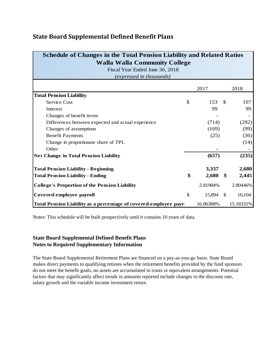# **State Board Supplemental Defined Benefit Plans**

| <b>Schedule of Changes in the Total Pension Liability and Related Ratios</b> |    |           |               |           |  |  |  |  |
|------------------------------------------------------------------------------|----|-----------|---------------|-----------|--|--|--|--|
| <b>Walla Walla Community College</b>                                         |    |           |               |           |  |  |  |  |
| Fiscal Year Ended June 30, 2018                                              |    |           |               |           |  |  |  |  |
| (expressed in thousands)                                                     |    |           |               |           |  |  |  |  |
|                                                                              |    | 2017      |               | 2018      |  |  |  |  |
| <b>Total Pension Liability</b>                                               |    |           |               |           |  |  |  |  |
| Service Cost                                                                 | \$ | 153       | <sup>\$</sup> | 107       |  |  |  |  |
| Interest                                                                     |    | 99        |               | 99        |  |  |  |  |
| Changes of benefit terms                                                     |    |           |               |           |  |  |  |  |
| Differences between expected and actual experience                           |    | (714)     |               | (292)     |  |  |  |  |
| Changes of assumptions                                                       |    | (169)     |               | (99)      |  |  |  |  |
| <b>Benefit Payments</b>                                                      |    | (25)      |               | (36)      |  |  |  |  |
| Change in proportionate share of TPL                                         |    |           |               | (14)      |  |  |  |  |
| Other                                                                        |    |           |               |           |  |  |  |  |
| <b>Net Change in Total Pension Liability</b>                                 |    | (657)     |               | (235)     |  |  |  |  |
| <b>Total Pension Liability - Beginning</b>                                   |    | 3,337     |               | 2,680     |  |  |  |  |
| <b>Total Pension Liability - Ending</b>                                      | \$ | 2,680     | -\$           | 2,445     |  |  |  |  |
| <b>College's Proportion of the Pension Liability</b>                         |    | 2.81984%  |               | 2.80446%  |  |  |  |  |
| Covered-employee payroll                                                     | \$ | 15,894    | - \$          | 16,104    |  |  |  |  |
| Total Pension Liability as a percentage of covered-employee payr             |    | 16.86388% |               | 15.18331% |  |  |  |  |

Notes: This schedule will be built prospectively until it contains 10 years of data.

#### **State Board Supplemental Defined Benefit Plans Notes to Required Supplementary Information**

The State Board Supplemental Retirement Plans are financed on a pay-as-you-go basis. State Board makes direct payments to qualifying retirees when the retirement benefits provided by the fund sponsors do not meet the benefit goals, no assets are accumulated in trusts or equivalent arrangements. Potential factors that may significantly affect trends in amounts reported include changes to the discount rate, salary growth and the variable income investment return.